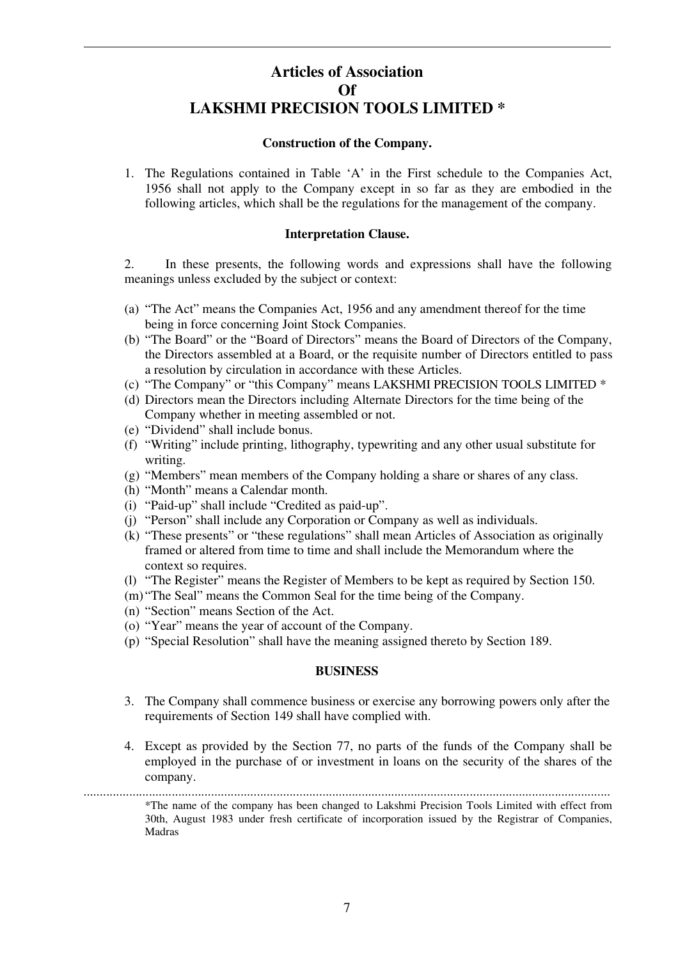# **Articles of Association Of LAKSHMI PRECISION TOOLS LIMITED \***

### **Construction of the Company.**

1. The Regulations contained in Table 'A' in the First schedule to the Companies Act, 1956 shall not apply to the Company except in so far as they are embodied in the following articles, which shall be the regulations for the management of the company.

## **Interpretation Clause.**

2. In these presents, the following words and expressions shall have the following meanings unless excluded by the subject or context:

- (a) "The Act" means the Companies Act, 1956 and any amendment thereof for the time being in force concerning Joint Stock Companies.
- (b) "The Board" or the "Board of Directors" means the Board of Directors of the Company, the Directors assembled at a Board, or the requisite number of Directors entitled to pass a resolution by circulation in accordance with these Articles.
- (c) "The Company" or "this Company" means LAKSHMI PRECISION TOOLS LIMITED \*
- (d) Directors mean the Directors including Alternate Directors for the time being of the Company whether in meeting assembled or not.
- (e) "Dividend" shall include bonus.
- (f) "Writing" include printing, lithography, typewriting and any other usual substitute for writing.
- (g) "Members" mean members of the Company holding a share or shares of any class.
- (h) "Month" means a Calendar month.
- (i) "Paid-up" shall include "Credited as paid-up".
- (j) "Person" shall include any Corporation or Company as well as individuals.
- (k) "These presents" or "these regulations" shall mean Articles of Association as originally framed or altered from time to time and shall include the Memorandum where the context so requires.
- (l) "The Register" means the Register of Members to be kept as required by Section 150.
- (m) "The Seal" means the Common Seal for the time being of the Company.
- (n) "Section" means Section of the Act.
- (o) "Year" means the year of account of the Company.
- (p) "Special Resolution" shall have the meaning assigned thereto by Section 189.

### **BUSINESS**

- 3. The Company shall commence business or exercise any borrowing powers only after the requirements of Section 149 shall have complied with.
- 4. Except as provided by the Section 77, no parts of the funds of the Company shall be employed in the purchase of or investment in loans on the security of the shares of the company.

.................................................................................................................................................................

\*The name of the company has been changed to Lakshmi Precision Tools Limited with effect from 30th, August 1983 under fresh certificate of incorporation issued by the Registrar of Companies, Madras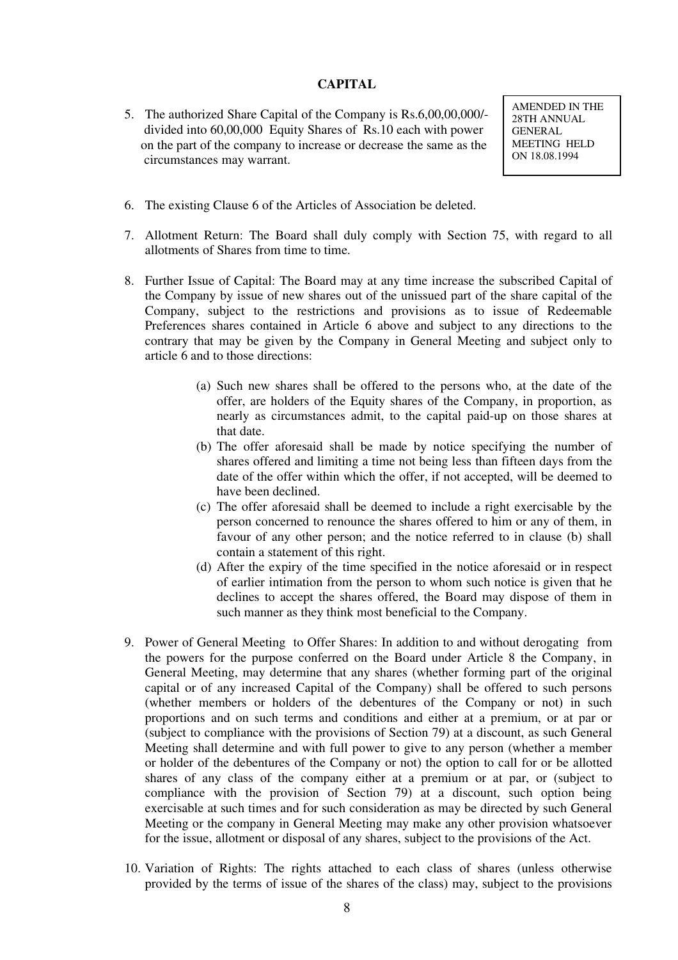## **CAPITAL**

5. The authorized Share Capital of the Company is Rs.6,00,00,000/ divided into 60,00,000 Equity Shares of Rs.10 each with power on the part of the company to increase or decrease the same as the circumstances may warrant.

AMENDED IN THE 28TH ANNUAL GENERAL MEETING HELD ON 18.08.1994

- 6. The existing Clause 6 of the Articles of Association be deleted.
- 7. Allotment Return: The Board shall duly comply with Section 75, with regard to all allotments of Shares from time to time.
- 8. Further Issue of Capital: The Board may at any time increase the subscribed Capital of the Company by issue of new shares out of the unissued part of the share capital of the Company, subject to the restrictions and provisions as to issue of Redeemable Preferences shares contained in Article 6 above and subject to any directions to the contrary that may be given by the Company in General Meeting and subject only to article 6 and to those directions:
	- (a) Such new shares shall be offered to the persons who, at the date of the offer, are holders of the Equity shares of the Company, in proportion, as nearly as circumstances admit, to the capital paid-up on those shares at that date.
	- (b) The offer aforesaid shall be made by notice specifying the number of shares offered and limiting a time not being less than fifteen days from the date of the offer within which the offer, if not accepted, will be deemed to have been declined.
	- (c) The offer aforesaid shall be deemed to include a right exercisable by the person concerned to renounce the shares offered to him or any of them, in favour of any other person; and the notice referred to in clause (b) shall contain a statement of this right.
	- (d) After the expiry of the time specified in the notice aforesaid or in respect of earlier intimation from the person to whom such notice is given that he declines to accept the shares offered, the Board may dispose of them in such manner as they think most beneficial to the Company.
- 9. Power of General Meeting to Offer Shares: In addition to and without derogating from the powers for the purpose conferred on the Board under Article 8 the Company, in General Meeting, may determine that any shares (whether forming part of the original capital or of any increased Capital of the Company) shall be offered to such persons (whether members or holders of the debentures of the Company or not) in such proportions and on such terms and conditions and either at a premium, or at par or (subject to compliance with the provisions of Section 79) at a discount, as such General Meeting shall determine and with full power to give to any person (whether a member or holder of the debentures of the Company or not) the option to call for or be allotted shares of any class of the company either at a premium or at par, or (subject to compliance with the provision of Section 79) at a discount, such option being exercisable at such times and for such consideration as may be directed by such General Meeting or the company in General Meeting may make any other provision whatsoever for the issue, allotment or disposal of any shares, subject to the provisions of the Act.
- 10. Variation of Rights: The rights attached to each class of shares (unless otherwise provided by the terms of issue of the shares of the class) may, subject to the provisions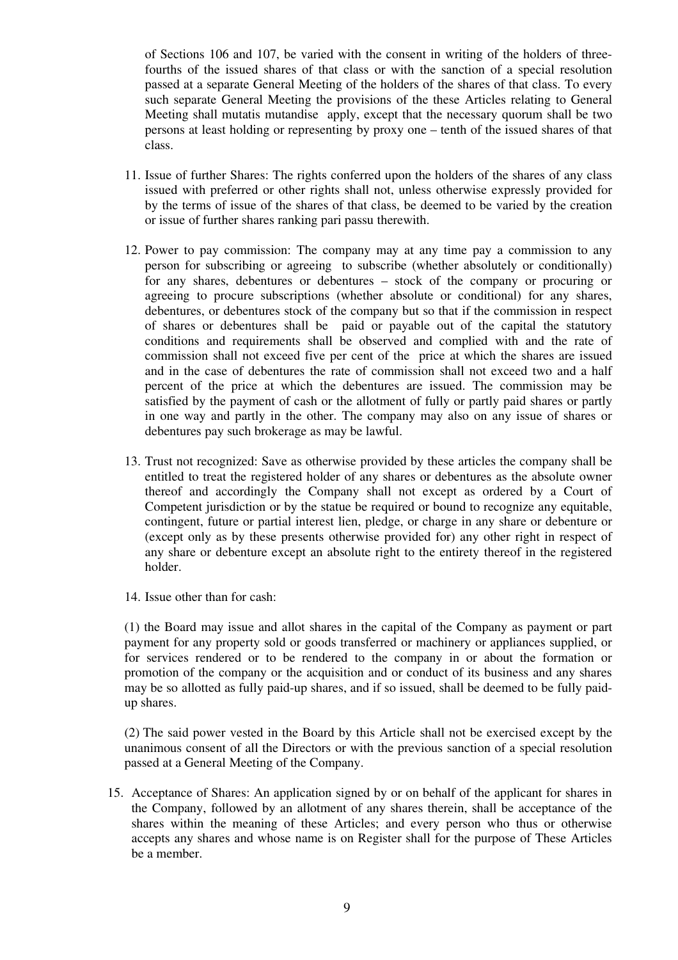of Sections 106 and 107, be varied with the consent in writing of the holders of threefourths of the issued shares of that class or with the sanction of a special resolution passed at a separate General Meeting of the holders of the shares of that class. To every such separate General Meeting the provisions of the these Articles relating to General Meeting shall mutatis mutandise apply, except that the necessary quorum shall be two persons at least holding or representing by proxy one – tenth of the issued shares of that class.

- 11. Issue of further Shares: The rights conferred upon the holders of the shares of any class issued with preferred or other rights shall not, unless otherwise expressly provided for by the terms of issue of the shares of that class, be deemed to be varied by the creation or issue of further shares ranking pari passu therewith.
- 12. Power to pay commission: The company may at any time pay a commission to any person for subscribing or agreeing to subscribe (whether absolutely or conditionally) for any shares, debentures or debentures – stock of the company or procuring or agreeing to procure subscriptions (whether absolute or conditional) for any shares, debentures, or debentures stock of the company but so that if the commission in respect of shares or debentures shall be paid or payable out of the capital the statutory conditions and requirements shall be observed and complied with and the rate of commission shall not exceed five per cent of the price at which the shares are issued and in the case of debentures the rate of commission shall not exceed two and a half percent of the price at which the debentures are issued. The commission may be satisfied by the payment of cash or the allotment of fully or partly paid shares or partly in one way and partly in the other. The company may also on any issue of shares or debentures pay such brokerage as may be lawful.
- 13. Trust not recognized: Save as otherwise provided by these articles the company shall be entitled to treat the registered holder of any shares or debentures as the absolute owner thereof and accordingly the Company shall not except as ordered by a Court of Competent jurisdiction or by the statue be required or bound to recognize any equitable, contingent, future or partial interest lien, pledge, or charge in any share or debenture or (except only as by these presents otherwise provided for) any other right in respect of any share or debenture except an absolute right to the entirety thereof in the registered holder.
- 14. Issue other than for cash:

(1) the Board may issue and allot shares in the capital of the Company as payment or part payment for any property sold or goods transferred or machinery or appliances supplied, or for services rendered or to be rendered to the company in or about the formation or promotion of the company or the acquisition and or conduct of its business and any shares may be so allotted as fully paid-up shares, and if so issued, shall be deemed to be fully paidup shares.

(2) The said power vested in the Board by this Article shall not be exercised except by the unanimous consent of all the Directors or with the previous sanction of a special resolution passed at a General Meeting of the Company.

15. Acceptance of Shares: An application signed by or on behalf of the applicant for shares in the Company, followed by an allotment of any shares therein, shall be acceptance of the shares within the meaning of these Articles; and every person who thus or otherwise accepts any shares and whose name is on Register shall for the purpose of These Articles be a member.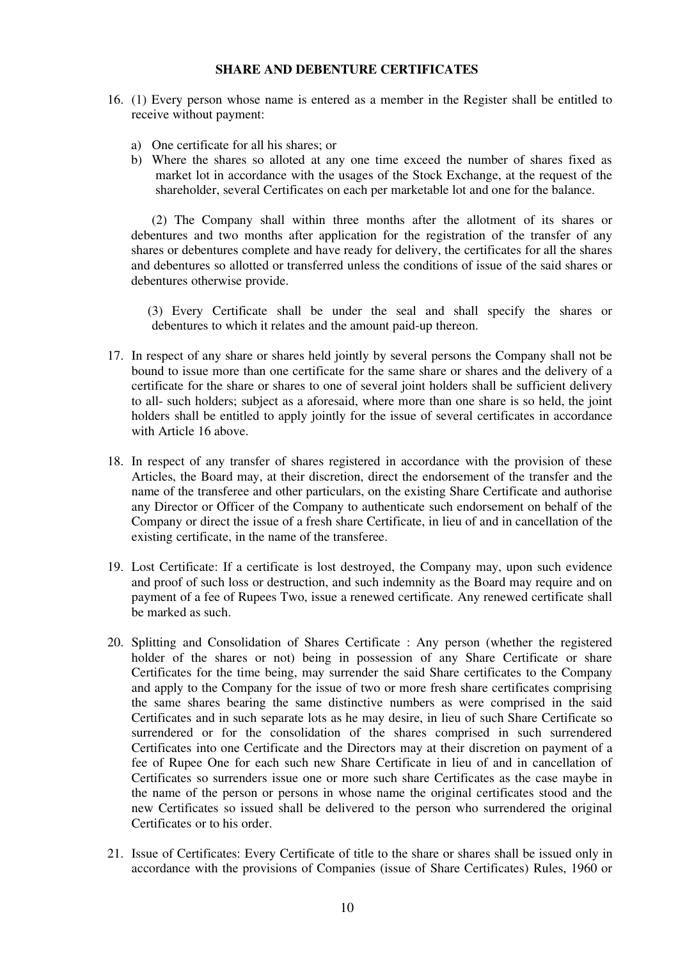## **SHARE AND DEBENTURE CERTIFICATES**

- 16. (1) Every person whose name is entered as a member in the Register shall be entitled to receive without payment:
	- a) One certificate for all his shares; or
	- b) Where the shares so alloted at any one time exceed the number of shares fixed as market lot in accordance with the usages of the Stock Exchange, at the request of the shareholder, several Certificates on each per marketable lot and one for the balance.

(2) The Company shall within three months after the allotment of its shares or debentures and two months after application for the registration of the transfer of any shares or debentures complete and have ready for delivery, the certificates for all the shares and debentures so allotted or transferred unless the conditions of issue of the said shares or debentures otherwise provide.

(3) Every Certificate shall be under the seal and shall specify the shares or debentures to which it relates and the amount paid-up thereon.

- 17. In respect of any share or shares held jointly by several persons the Company shall not be bound to issue more than one certificate for the same share or shares and the delivery of a certificate for the share or shares to one of several joint holders shall be sufficient delivery to all- such holders; subject as a aforesaid, where more than one share is so held, the joint holders shall be entitled to apply jointly for the issue of several certificates in accordance with Article 16 above.
- 18. In respect of any transfer of shares registered in accordance with the provision of these Articles, the Board may, at their discretion, direct the endorsement of the transfer and the name of the transferee and other particulars, on the existing Share Certificate and authorise any Director or Officer of the Company to authenticate such endorsement on behalf of the Company or direct the issue of a fresh share Certificate, in lieu of and in cancellation of the existing certificate, in the name of the transferee.
- 19. Lost Certificate: If a certificate is lost destroyed, the Company may, upon such evidence and proof of such loss or destruction, and such indemnity as the Board may require and on payment of a fee of Rupees Two, issue a renewed certificate. Any renewed certificate shall be marked as such.
- 20. Splitting and Consolidation of Shares Certificate : Any person (whether the registered holder of the shares or not) being in possession of any Share Certificate or share Certificates for the time being, may surrender the said Share certificates to the Company and apply to the Company for the issue of two or more fresh share certificates comprising the same shares bearing the same distinctive numbers as were comprised in the said Certificates and in such separate lots as he may desire, in lieu of such Share Certificate so surrendered or for the consolidation of the shares comprised in such surrendered Certificates into one Certificate and the Directors may at their discretion on payment of a fee of Rupee One for each such new Share Certificate in lieu of and in cancellation of Certificates so surrenders issue one or more such share Certificates as the case maybe in the name of the person or persons in whose name the original certificates stood and the new Certificates so issued shall be delivered to the person who surrendered the original Certificates or to his order.
- 21. Issue of Certificates: Every Certificate of title to the share or shares shall be issued only in accordance with the provisions of Companies (issue of Share Certificates) Rules, 1960 or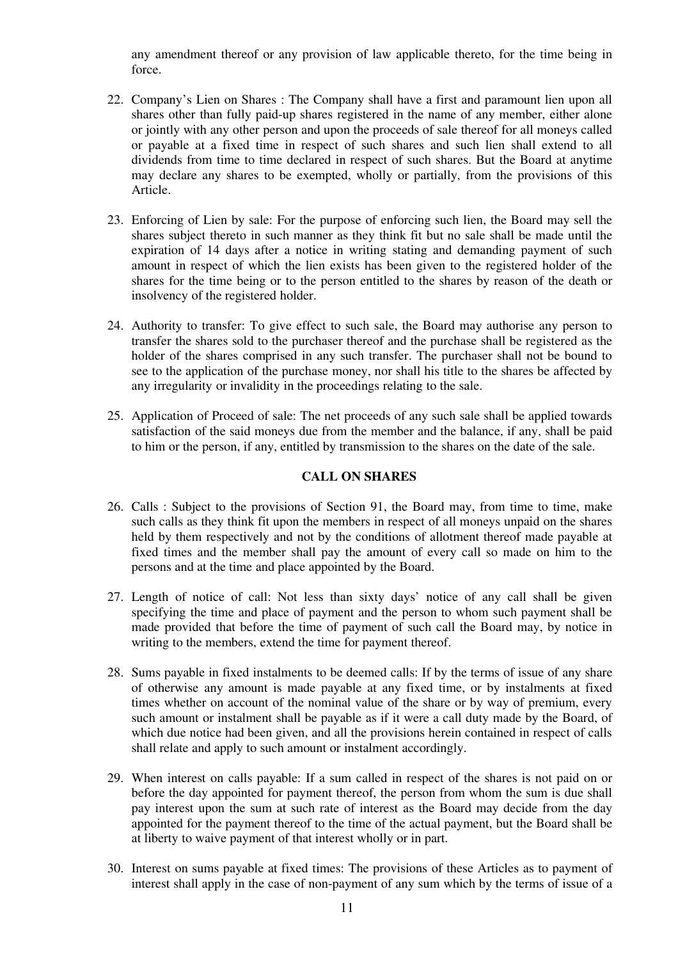any amendment thereof or any provision of law applicable thereto, for the time being in force.

- 22. Company's Lien on Shares : The Company shall have a first and paramount lien upon all shares other than fully paid-up shares registered in the name of any member, either alone or jointly with any other person and upon the proceeds of sale thereof for all moneys called or payable at a fixed time in respect of such shares and such lien shall extend to all dividends from time to time declared in respect of such shares. But the Board at anytime may declare any shares to be exempted, wholly or partially, from the provisions of this Article.
- 23. Enforcing of Lien by sale: For the purpose of enforcing such lien, the Board may sell the shares subject thereto in such manner as they think fit but no sale shall be made until the expiration of 14 days after a notice in writing stating and demanding payment of such amount in respect of which the lien exists has been given to the registered holder of the shares for the time being or to the person entitled to the shares by reason of the death or insolvency of the registered holder.
- 24. Authority to transfer: To give effect to such sale, the Board may authorise any person to transfer the shares sold to the purchaser thereof and the purchase shall be registered as the holder of the shares comprised in any such transfer. The purchaser shall not be bound to see to the application of the purchase money, nor shall his title to the shares be affected by any irregularity or invalidity in the proceedings relating to the sale.
- 25. Application of Proceed of sale: The net proceeds of any such sale shall be applied towards satisfaction of the said moneys due from the member and the balance, if any, shall be paid to him or the person, if any, entitled by transmission to the shares on the date of the sale.

# **CALL ON SHARES**

- 26. Calls : Subject to the provisions of Section 91, the Board may, from time to time, make such calls as they think fit upon the members in respect of all moneys unpaid on the shares held by them respectively and not by the conditions of allotment thereof made payable at fixed times and the member shall pay the amount of every call so made on him to the persons and at the time and place appointed by the Board.
- 27. Length of notice of call: Not less than sixty days' notice of any call shall be given specifying the time and place of payment and the person to whom such payment shall be made provided that before the time of payment of such call the Board may, by notice in writing to the members, extend the time for payment thereof.
- 28. Sums payable in fixed instalments to be deemed calls: If by the terms of issue of any share of otherwise any amount is made payable at any fixed time, or by instalments at fixed times whether on account of the nominal value of the share or by way of premium, every such amount or instalment shall be payable as if it were a call duty made by the Board, of which due notice had been given, and all the provisions herein contained in respect of calls shall relate and apply to such amount or instalment accordingly.
- 29. When interest on calls payable: If a sum called in respect of the shares is not paid on or before the day appointed for payment thereof, the person from whom the sum is due shall pay interest upon the sum at such rate of interest as the Board may decide from the day appointed for the payment thereof to the time of the actual payment, but the Board shall be at liberty to waive payment of that interest wholly or in part.
- 30. Interest on sums payable at fixed times: The provisions of these Articles as to payment of interest shall apply in the case of non-payment of any sum which by the terms of issue of a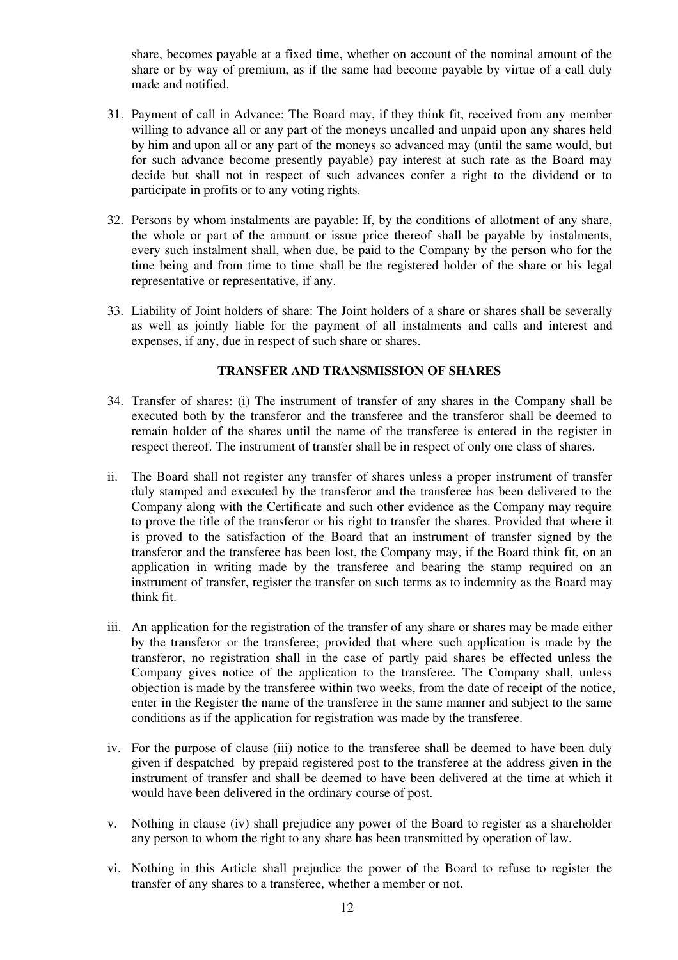share, becomes payable at a fixed time, whether on account of the nominal amount of the share or by way of premium, as if the same had become payable by virtue of a call duly made and notified.

- 31. Payment of call in Advance: The Board may, if they think fit, received from any member willing to advance all or any part of the moneys uncalled and unpaid upon any shares held by him and upon all or any part of the moneys so advanced may (until the same would, but for such advance become presently payable) pay interest at such rate as the Board may decide but shall not in respect of such advances confer a right to the dividend or to participate in profits or to any voting rights.
- 32. Persons by whom instalments are payable: If, by the conditions of allotment of any share, the whole or part of the amount or issue price thereof shall be payable by instalments, every such instalment shall, when due, be paid to the Company by the person who for the time being and from time to time shall be the registered holder of the share or his legal representative or representative, if any.
- 33. Liability of Joint holders of share: The Joint holders of a share or shares shall be severally as well as jointly liable for the payment of all instalments and calls and interest and expenses, if any, due in respect of such share or shares.

# **TRANSFER AND TRANSMISSION OF SHARES**

- 34. Transfer of shares: (i) The instrument of transfer of any shares in the Company shall be executed both by the transferor and the transferee and the transferor shall be deemed to remain holder of the shares until the name of the transferee is entered in the register in respect thereof. The instrument of transfer shall be in respect of only one class of shares.
- ii. The Board shall not register any transfer of shares unless a proper instrument of transfer duly stamped and executed by the transferor and the transferee has been delivered to the Company along with the Certificate and such other evidence as the Company may require to prove the title of the transferor or his right to transfer the shares. Provided that where it is proved to the satisfaction of the Board that an instrument of transfer signed by the transferor and the transferee has been lost, the Company may, if the Board think fit, on an application in writing made by the transferee and bearing the stamp required on an instrument of transfer, register the transfer on such terms as to indemnity as the Board may think fit.
- iii. An application for the registration of the transfer of any share or shares may be made either by the transferor or the transferee; provided that where such application is made by the transferor, no registration shall in the case of partly paid shares be effected unless the Company gives notice of the application to the transferee. The Company shall, unless objection is made by the transferee within two weeks, from the date of receipt of the notice, enter in the Register the name of the transferee in the same manner and subject to the same conditions as if the application for registration was made by the transferee.
- iv. For the purpose of clause (iii) notice to the transferee shall be deemed to have been duly given if despatched by prepaid registered post to the transferee at the address given in the instrument of transfer and shall be deemed to have been delivered at the time at which it would have been delivered in the ordinary course of post.
- v. Nothing in clause (iv) shall prejudice any power of the Board to register as a shareholder any person to whom the right to any share has been transmitted by operation of law.
- vi. Nothing in this Article shall prejudice the power of the Board to refuse to register the transfer of any shares to a transferee, whether a member or not.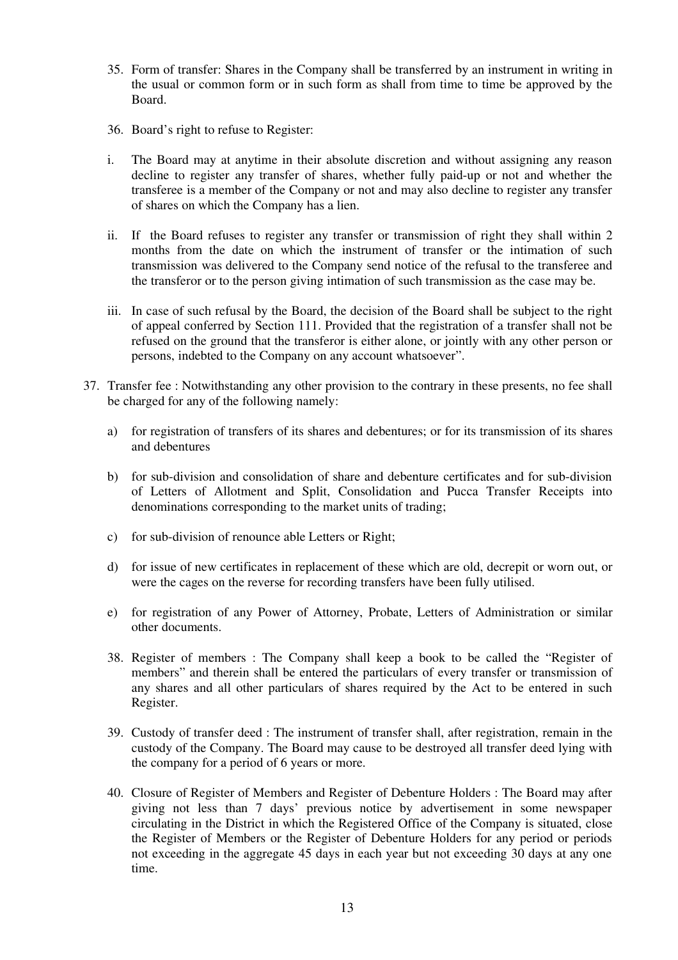- 35. Form of transfer: Shares in the Company shall be transferred by an instrument in writing in the usual or common form or in such form as shall from time to time be approved by the Board.
- 36. Board's right to refuse to Register:
- i. The Board may at anytime in their absolute discretion and without assigning any reason decline to register any transfer of shares, whether fully paid-up or not and whether the transferee is a member of the Company or not and may also decline to register any transfer of shares on which the Company has a lien.
- ii. If the Board refuses to register any transfer or transmission of right they shall within 2 months from the date on which the instrument of transfer or the intimation of such transmission was delivered to the Company send notice of the refusal to the transferee and the transferor or to the person giving intimation of such transmission as the case may be.
- iii. In case of such refusal by the Board, the decision of the Board shall be subject to the right of appeal conferred by Section 111. Provided that the registration of a transfer shall not be refused on the ground that the transferor is either alone, or jointly with any other person or persons, indebted to the Company on any account whatsoever".
- 37. Transfer fee : Notwithstanding any other provision to the contrary in these presents, no fee shall be charged for any of the following namely:
	- a) for registration of transfers of its shares and debentures; or for its transmission of its shares and debentures
	- b) for sub-division and consolidation of share and debenture certificates and for sub-division of Letters of Allotment and Split, Consolidation and Pucca Transfer Receipts into denominations corresponding to the market units of trading;
	- c) for sub-division of renounce able Letters or Right;
	- d) for issue of new certificates in replacement of these which are old, decrepit or worn out, or were the cages on the reverse for recording transfers have been fully utilised.
	- e) for registration of any Power of Attorney, Probate, Letters of Administration or similar other documents.
	- 38. Register of members : The Company shall keep a book to be called the "Register of members" and therein shall be entered the particulars of every transfer or transmission of any shares and all other particulars of shares required by the Act to be entered in such Register.
	- 39. Custody of transfer deed : The instrument of transfer shall, after registration, remain in the custody of the Company. The Board may cause to be destroyed all transfer deed lying with the company for a period of 6 years or more.
	- 40. Closure of Register of Members and Register of Debenture Holders : The Board may after giving not less than 7 days' previous notice by advertisement in some newspaper circulating in the District in which the Registered Office of the Company is situated, close the Register of Members or the Register of Debenture Holders for any period or periods not exceeding in the aggregate 45 days in each year but not exceeding 30 days at any one time.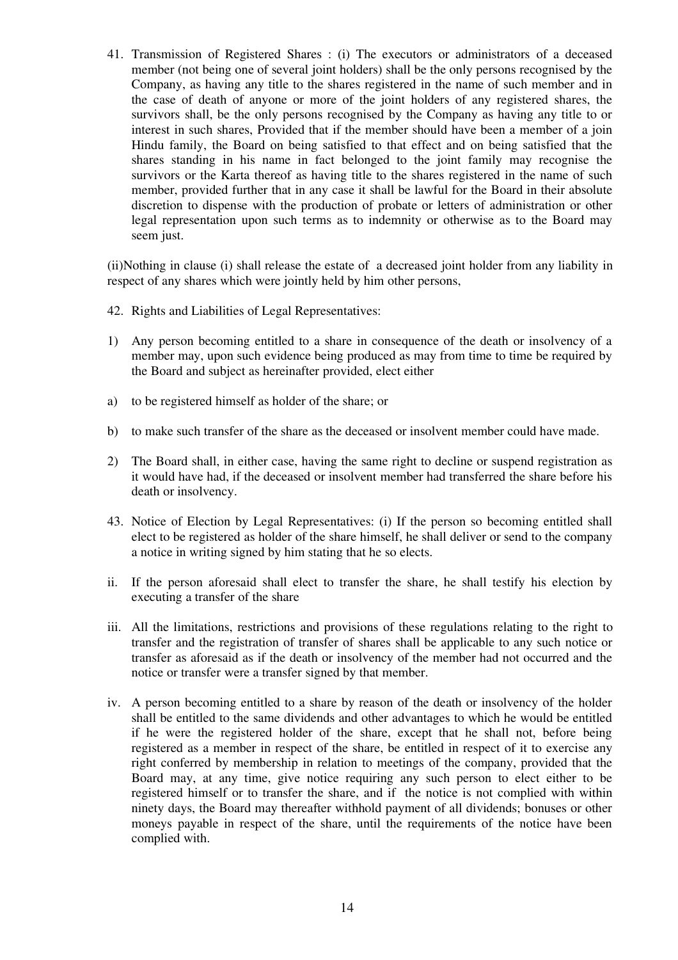41. Transmission of Registered Shares : (i) The executors or administrators of a deceased member (not being one of several joint holders) shall be the only persons recognised by the Company, as having any title to the shares registered in the name of such member and in the case of death of anyone or more of the joint holders of any registered shares, the survivors shall, be the only persons recognised by the Company as having any title to or interest in such shares, Provided that if the member should have been a member of a join Hindu family, the Board on being satisfied to that effect and on being satisfied that the shares standing in his name in fact belonged to the joint family may recognise the survivors or the Karta thereof as having title to the shares registered in the name of such member, provided further that in any case it shall be lawful for the Board in their absolute discretion to dispense with the production of probate or letters of administration or other legal representation upon such terms as to indemnity or otherwise as to the Board may seem just.

(ii)Nothing in clause (i) shall release the estate of a decreased joint holder from any liability in respect of any shares which were jointly held by him other persons,

- 42. Rights and Liabilities of Legal Representatives:
- 1) Any person becoming entitled to a share in consequence of the death or insolvency of a member may, upon such evidence being produced as may from time to time be required by the Board and subject as hereinafter provided, elect either
- a) to be registered himself as holder of the share; or
- b) to make such transfer of the share as the deceased or insolvent member could have made.
- 2) The Board shall, in either case, having the same right to decline or suspend registration as it would have had, if the deceased or insolvent member had transferred the share before his death or insolvency.
- 43. Notice of Election by Legal Representatives: (i) If the person so becoming entitled shall elect to be registered as holder of the share himself, he shall deliver or send to the company a notice in writing signed by him stating that he so elects.
- ii. If the person aforesaid shall elect to transfer the share, he shall testify his election by executing a transfer of the share
- iii. All the limitations, restrictions and provisions of these regulations relating to the right to transfer and the registration of transfer of shares shall be applicable to any such notice or transfer as aforesaid as if the death or insolvency of the member had not occurred and the notice or transfer were a transfer signed by that member.
- iv. A person becoming entitled to a share by reason of the death or insolvency of the holder shall be entitled to the same dividends and other advantages to which he would be entitled if he were the registered holder of the share, except that he shall not, before being registered as a member in respect of the share, be entitled in respect of it to exercise any right conferred by membership in relation to meetings of the company, provided that the Board may, at any time, give notice requiring any such person to elect either to be registered himself or to transfer the share, and if the notice is not complied with within ninety days, the Board may thereafter withhold payment of all dividends; bonuses or other moneys payable in respect of the share, until the requirements of the notice have been complied with.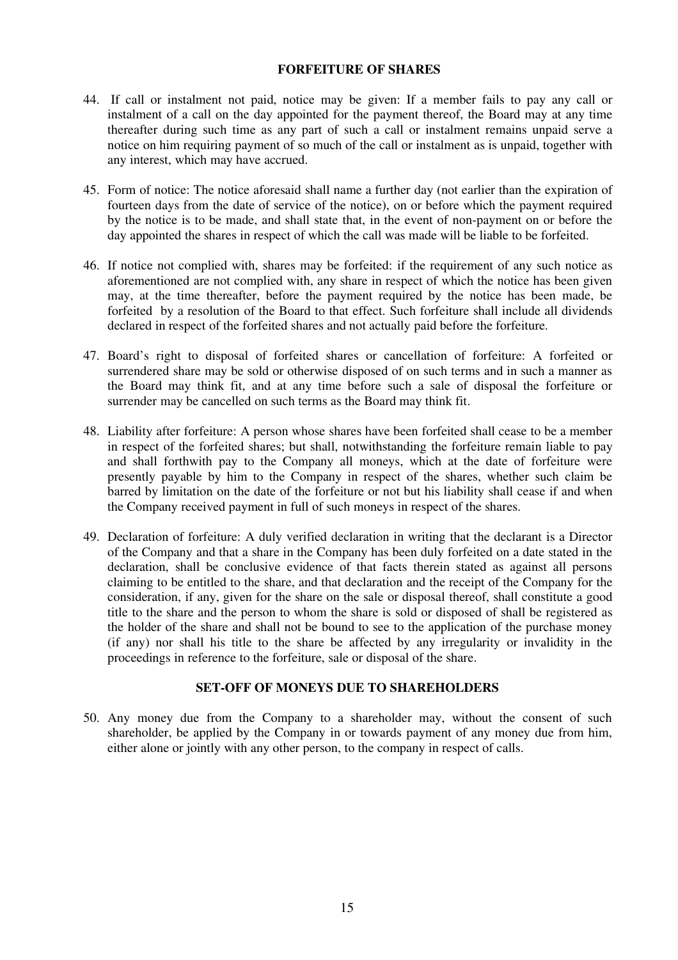# **FORFEITURE OF SHARES**

- 44. If call or instalment not paid, notice may be given: If a member fails to pay any call or instalment of a call on the day appointed for the payment thereof, the Board may at any time thereafter during such time as any part of such a call or instalment remains unpaid serve a notice on him requiring payment of so much of the call or instalment as is unpaid, together with any interest, which may have accrued.
- 45. Form of notice: The notice aforesaid shall name a further day (not earlier than the expiration of fourteen days from the date of service of the notice), on or before which the payment required by the notice is to be made, and shall state that, in the event of non-payment on or before the day appointed the shares in respect of which the call was made will be liable to be forfeited.
- 46. If notice not complied with, shares may be forfeited: if the requirement of any such notice as aforementioned are not complied with, any share in respect of which the notice has been given may, at the time thereafter, before the payment required by the notice has been made, be forfeited by a resolution of the Board to that effect. Such forfeiture shall include all dividends declared in respect of the forfeited shares and not actually paid before the forfeiture.
- 47. Board's right to disposal of forfeited shares or cancellation of forfeiture: A forfeited or surrendered share may be sold or otherwise disposed of on such terms and in such a manner as the Board may think fit, and at any time before such a sale of disposal the forfeiture or surrender may be cancelled on such terms as the Board may think fit.
- 48. Liability after forfeiture: A person whose shares have been forfeited shall cease to be a member in respect of the forfeited shares; but shall, notwithstanding the forfeiture remain liable to pay and shall forthwith pay to the Company all moneys, which at the date of forfeiture were presently payable by him to the Company in respect of the shares, whether such claim be barred by limitation on the date of the forfeiture or not but his liability shall cease if and when the Company received payment in full of such moneys in respect of the shares.
- 49. Declaration of forfeiture: A duly verified declaration in writing that the declarant is a Director of the Company and that a share in the Company has been duly forfeited on a date stated in the declaration, shall be conclusive evidence of that facts therein stated as against all persons claiming to be entitled to the share, and that declaration and the receipt of the Company for the consideration, if any, given for the share on the sale or disposal thereof, shall constitute a good title to the share and the person to whom the share is sold or disposed of shall be registered as the holder of the share and shall not be bound to see to the application of the purchase money (if any) nor shall his title to the share be affected by any irregularity or invalidity in the proceedings in reference to the forfeiture, sale or disposal of the share.

## **SET-OFF OF MONEYS DUE TO SHAREHOLDERS**

50. Any money due from the Company to a shareholder may, without the consent of such shareholder, be applied by the Company in or towards payment of any money due from him, either alone or jointly with any other person, to the company in respect of calls.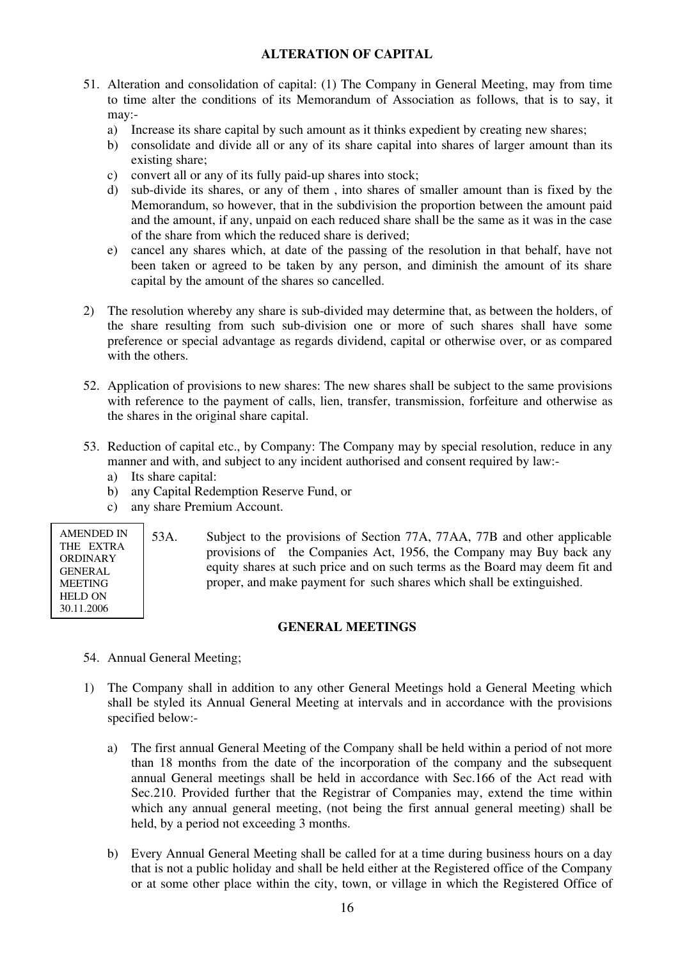# **ALTERATION OF CAPITAL**

- 51. Alteration and consolidation of capital: (1) The Company in General Meeting, may from time to time alter the conditions of its Memorandum of Association as follows, that is to say, it may:
	- a) Increase its share capital by such amount as it thinks expedient by creating new shares;
	- b) consolidate and divide all or any of its share capital into shares of larger amount than its existing share;
	- c) convert all or any of its fully paid-up shares into stock;
	- d) sub-divide its shares, or any of them , into shares of smaller amount than is fixed by the Memorandum, so however, that in the subdivision the proportion between the amount paid and the amount, if any, unpaid on each reduced share shall be the same as it was in the case of the share from which the reduced share is derived;
	- e) cancel any shares which, at date of the passing of the resolution in that behalf, have not been taken or agreed to be taken by any person, and diminish the amount of its share capital by the amount of the shares so cancelled.
- 2) The resolution whereby any share is sub-divided may determine that, as between the holders, of the share resulting from such sub-division one or more of such shares shall have some preference or special advantage as regards dividend, capital or otherwise over, or as compared with the others.
- 52. Application of provisions to new shares: The new shares shall be subject to the same provisions with reference to the payment of calls, lien, transfer, transmission, forfeiture and otherwise as the shares in the original share capital.
- 53. Reduction of capital etc., by Company: The Company may by special resolution, reduce in any manner and with, and subject to any incident authorised and consent required by law:
	- a) Its share capital:
	- b) any Capital Redemption Reserve Fund, or
	- c) any share Premium Account.

| <b>AMENDED IN</b> |  |  |
|-------------------|--|--|
| THE EXTRA         |  |  |
| ORDINARY          |  |  |
| <b>GENERAL</b>    |  |  |
| <b>MEETING</b>    |  |  |
| <b>HELD ON</b>    |  |  |
| 30.11.2006        |  |  |
|                   |  |  |

53A. Subject to the provisions of Section 77A, 77AA, 77B and other applicable provisions of the Companies Act, 1956, the Company may Buy back any equity shares at such price and on such terms as the Board may deem fit and proper, and make payment for such shares which shall be extinguished.

### **GENERAL MEETINGS**

- 54. Annual General Meeting;
- 1) The Company shall in addition to any other General Meetings hold a General Meeting which shall be styled its Annual General Meeting at intervals and in accordance with the provisions specified below:
	- a) The first annual General Meeting of the Company shall be held within a period of not more than 18 months from the date of the incorporation of the company and the subsequent annual General meetings shall be held in accordance with Sec.166 of the Act read with Sec.210. Provided further that the Registrar of Companies may, extend the time within which any annual general meeting, (not being the first annual general meeting) shall be held, by a period not exceeding 3 months.
	- b) Every Annual General Meeting shall be called for at a time during business hours on a day that is not a public holiday and shall be held either at the Registered office of the Company or at some other place within the city, town, or village in which the Registered Office of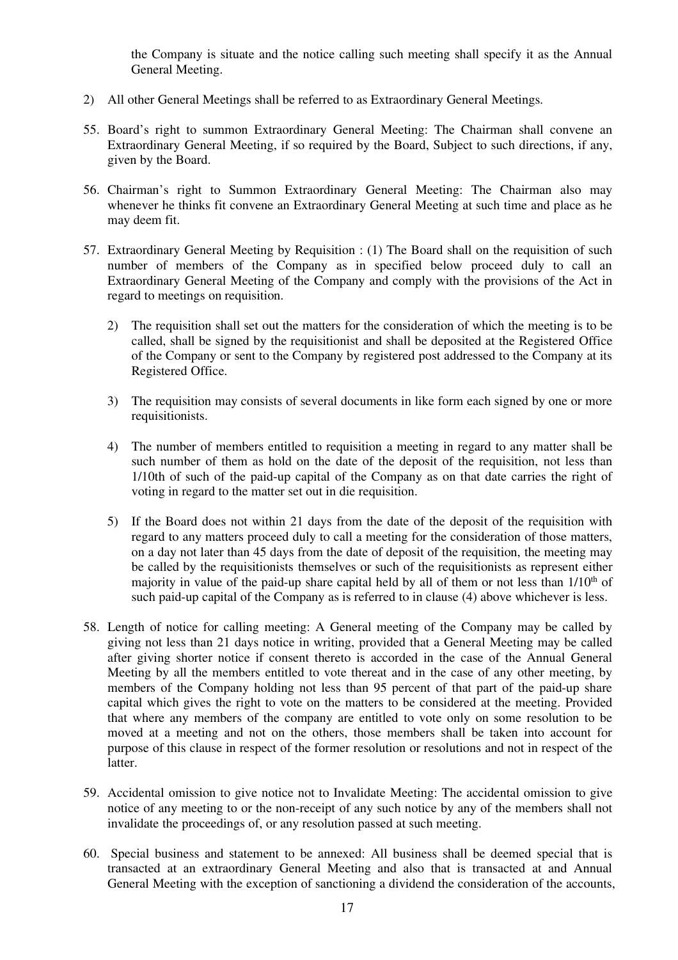the Company is situate and the notice calling such meeting shall specify it as the Annual General Meeting.

- 2) All other General Meetings shall be referred to as Extraordinary General Meetings.
- 55. Board's right to summon Extraordinary General Meeting: The Chairman shall convene an Extraordinary General Meeting, if so required by the Board, Subject to such directions, if any, given by the Board.
- 56. Chairman's right to Summon Extraordinary General Meeting: The Chairman also may whenever he thinks fit convene an Extraordinary General Meeting at such time and place as he may deem fit.
- 57. Extraordinary General Meeting by Requisition : (1) The Board shall on the requisition of such number of members of the Company as in specified below proceed duly to call an Extraordinary General Meeting of the Company and comply with the provisions of the Act in regard to meetings on requisition.
	- 2) The requisition shall set out the matters for the consideration of which the meeting is to be called, shall be signed by the requisitionist and shall be deposited at the Registered Office of the Company or sent to the Company by registered post addressed to the Company at its Registered Office.
	- 3) The requisition may consists of several documents in like form each signed by one or more requisitionists.
	- 4) The number of members entitled to requisition a meeting in regard to any matter shall be such number of them as hold on the date of the deposit of the requisition, not less than 1/10th of such of the paid-up capital of the Company as on that date carries the right of voting in regard to the matter set out in die requisition.
	- 5) If the Board does not within 21 days from the date of the deposit of the requisition with regard to any matters proceed duly to call a meeting for the consideration of those matters, on a day not later than 45 days from the date of deposit of the requisition, the meeting may be called by the requisitionists themselves or such of the requisitionists as represent either majority in value of the paid-up share capital held by all of them or not less than  $1/10<sup>th</sup>$  of such paid-up capital of the Company as is referred to in clause (4) above whichever is less.
- 58. Length of notice for calling meeting: A General meeting of the Company may be called by giving not less than 21 days notice in writing, provided that a General Meeting may be called after giving shorter notice if consent thereto is accorded in the case of the Annual General Meeting by all the members entitled to vote thereat and in the case of any other meeting, by members of the Company holding not less than 95 percent of that part of the paid-up share capital which gives the right to vote on the matters to be considered at the meeting. Provided that where any members of the company are entitled to vote only on some resolution to be moved at a meeting and not on the others, those members shall be taken into account for purpose of this clause in respect of the former resolution or resolutions and not in respect of the latter.
- 59. Accidental omission to give notice not to Invalidate Meeting: The accidental omission to give notice of any meeting to or the non-receipt of any such notice by any of the members shall not invalidate the proceedings of, or any resolution passed at such meeting.
- 60. Special business and statement to be annexed: All business shall be deemed special that is transacted at an extraordinary General Meeting and also that is transacted at and Annual General Meeting with the exception of sanctioning a dividend the consideration of the accounts,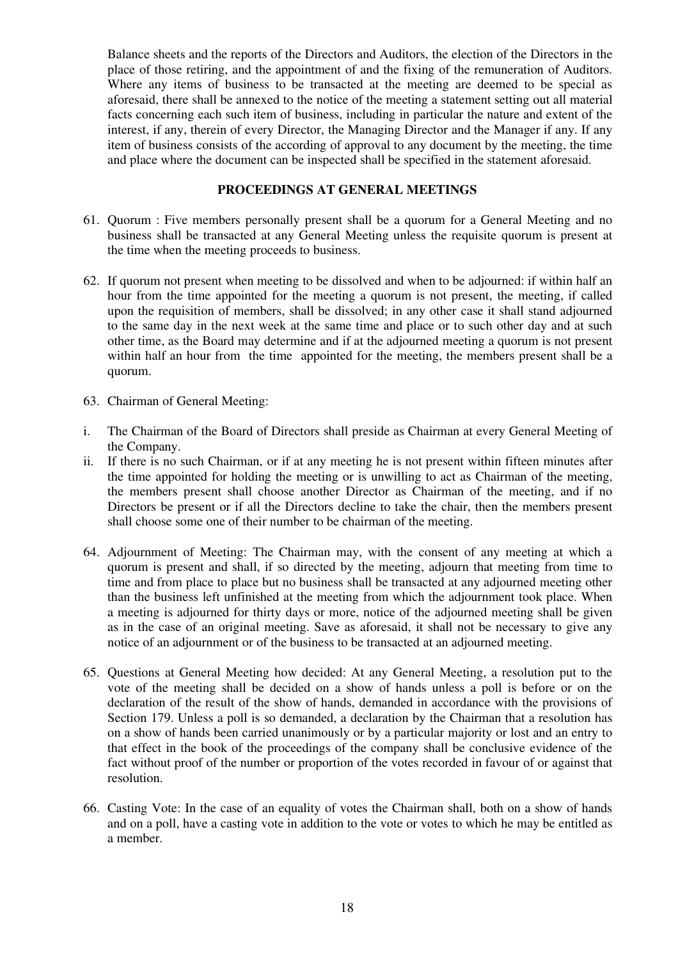Balance sheets and the reports of the Directors and Auditors, the election of the Directors in the place of those retiring, and the appointment of and the fixing of the remuneration of Auditors. Where any items of business to be transacted at the meeting are deemed to be special as aforesaid, there shall be annexed to the notice of the meeting a statement setting out all material facts concerning each such item of business, including in particular the nature and extent of the interest, if any, therein of every Director, the Managing Director and the Manager if any. If any item of business consists of the according of approval to any document by the meeting, the time and place where the document can be inspected shall be specified in the statement aforesaid.

## **PROCEEDINGS AT GENERAL MEETINGS**

- 61. Quorum : Five members personally present shall be a quorum for a General Meeting and no business shall be transacted at any General Meeting unless the requisite quorum is present at the time when the meeting proceeds to business.
- 62. If quorum not present when meeting to be dissolved and when to be adjourned: if within half an hour from the time appointed for the meeting a quorum is not present, the meeting, if called upon the requisition of members, shall be dissolved; in any other case it shall stand adjourned to the same day in the next week at the same time and place or to such other day and at such other time, as the Board may determine and if at the adjourned meeting a quorum is not present within half an hour from the time appointed for the meeting, the members present shall be a quorum.
- 63. Chairman of General Meeting:
- i. The Chairman of the Board of Directors shall preside as Chairman at every General Meeting of the Company.
- ii. If there is no such Chairman, or if at any meeting he is not present within fifteen minutes after the time appointed for holding the meeting or is unwilling to act as Chairman of the meeting, the members present shall choose another Director as Chairman of the meeting, and if no Directors be present or if all the Directors decline to take the chair, then the members present shall choose some one of their number to be chairman of the meeting.
- 64. Adjournment of Meeting: The Chairman may, with the consent of any meeting at which a quorum is present and shall, if so directed by the meeting, adjourn that meeting from time to time and from place to place but no business shall be transacted at any adjourned meeting other than the business left unfinished at the meeting from which the adjournment took place. When a meeting is adjourned for thirty days or more, notice of the adjourned meeting shall be given as in the case of an original meeting. Save as aforesaid, it shall not be necessary to give any notice of an adjournment or of the business to be transacted at an adjourned meeting.
- 65. Questions at General Meeting how decided: At any General Meeting, a resolution put to the vote of the meeting shall be decided on a show of hands unless a poll is before or on the declaration of the result of the show of hands, demanded in accordance with the provisions of Section 179. Unless a poll is so demanded, a declaration by the Chairman that a resolution has on a show of hands been carried unanimously or by a particular majority or lost and an entry to that effect in the book of the proceedings of the company shall be conclusive evidence of the fact without proof of the number or proportion of the votes recorded in favour of or against that resolution.
- 66. Casting Vote: In the case of an equality of votes the Chairman shall, both on a show of hands and on a poll, have a casting vote in addition to the vote or votes to which he may be entitled as a member.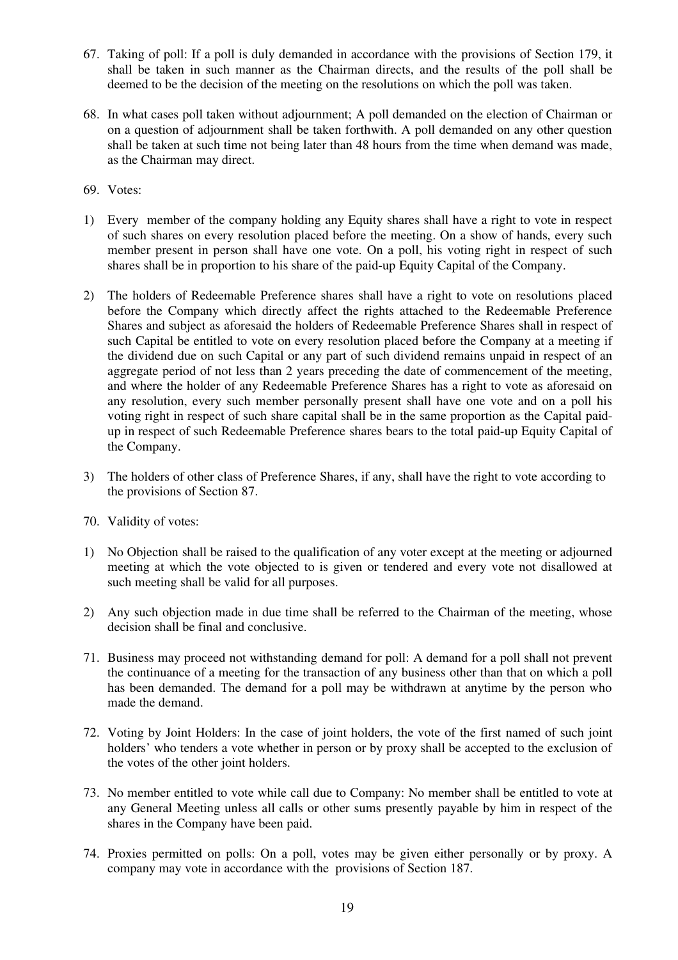- 67. Taking of poll: If a poll is duly demanded in accordance with the provisions of Section 179, it shall be taken in such manner as the Chairman directs, and the results of the poll shall be deemed to be the decision of the meeting on the resolutions on which the poll was taken.
- 68. In what cases poll taken without adjournment; A poll demanded on the election of Chairman or on a question of adjournment shall be taken forthwith. A poll demanded on any other question shall be taken at such time not being later than 48 hours from the time when demand was made, as the Chairman may direct.
- 69. Votes:
- 1) Every member of the company holding any Equity shares shall have a right to vote in respect of such shares on every resolution placed before the meeting. On a show of hands, every such member present in person shall have one vote. On a poll, his voting right in respect of such shares shall be in proportion to his share of the paid-up Equity Capital of the Company.
- 2) The holders of Redeemable Preference shares shall have a right to vote on resolutions placed before the Company which directly affect the rights attached to the Redeemable Preference Shares and subject as aforesaid the holders of Redeemable Preference Shares shall in respect of such Capital be entitled to vote on every resolution placed before the Company at a meeting if the dividend due on such Capital or any part of such dividend remains unpaid in respect of an aggregate period of not less than 2 years preceding the date of commencement of the meeting, and where the holder of any Redeemable Preference Shares has a right to vote as aforesaid on any resolution, every such member personally present shall have one vote and on a poll his voting right in respect of such share capital shall be in the same proportion as the Capital paidup in respect of such Redeemable Preference shares bears to the total paid-up Equity Capital of the Company.
- 3) The holders of other class of Preference Shares, if any, shall have the right to vote according to the provisions of Section 87.
- 70. Validity of votes:
- 1) No Objection shall be raised to the qualification of any voter except at the meeting or adjourned meeting at which the vote objected to is given or tendered and every vote not disallowed at such meeting shall be valid for all purposes.
- 2) Any such objection made in due time shall be referred to the Chairman of the meeting, whose decision shall be final and conclusive.
- 71. Business may proceed not withstanding demand for poll: A demand for a poll shall not prevent the continuance of a meeting for the transaction of any business other than that on which a poll has been demanded. The demand for a poll may be withdrawn at anytime by the person who made the demand.
- 72. Voting by Joint Holders: In the case of joint holders, the vote of the first named of such joint holders' who tenders a vote whether in person or by proxy shall be accepted to the exclusion of the votes of the other joint holders.
- 73. No member entitled to vote while call due to Company: No member shall be entitled to vote at any General Meeting unless all calls or other sums presently payable by him in respect of the shares in the Company have been paid.
- 74. Proxies permitted on polls: On a poll, votes may be given either personally or by proxy. A company may vote in accordance with the provisions of Section 187.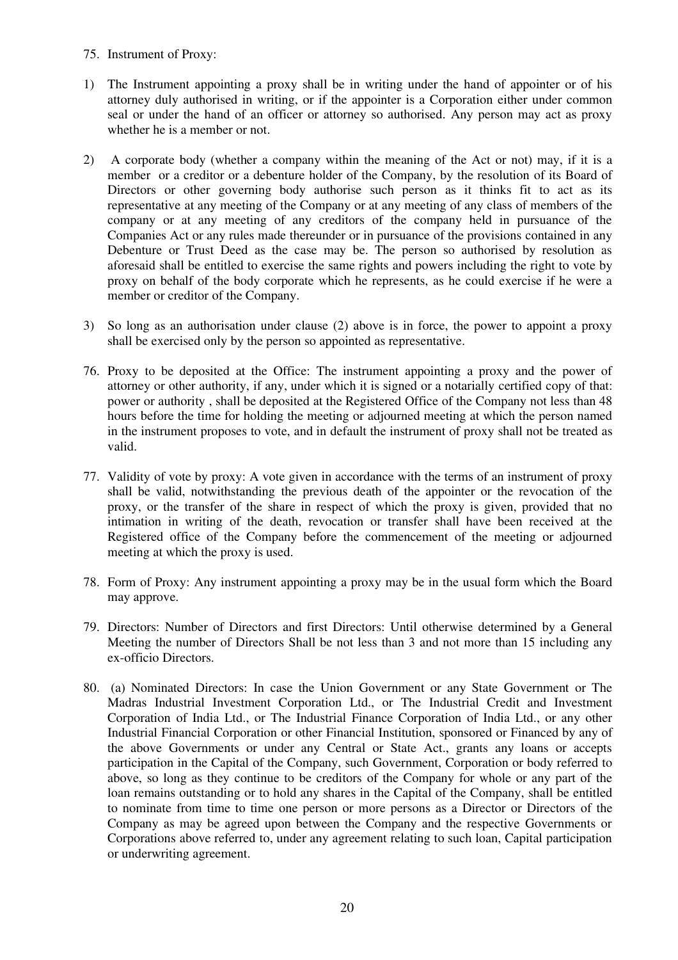- 75. Instrument of Proxy:
- 1) The Instrument appointing a proxy shall be in writing under the hand of appointer or of his attorney duly authorised in writing, or if the appointer is a Corporation either under common seal or under the hand of an officer or attorney so authorised. Any person may act as proxy whether he is a member or not.
- 2) A corporate body (whether a company within the meaning of the Act or not) may, if it is a member or a creditor or a debenture holder of the Company, by the resolution of its Board of Directors or other governing body authorise such person as it thinks fit to act as its representative at any meeting of the Company or at any meeting of any class of members of the company or at any meeting of any creditors of the company held in pursuance of the Companies Act or any rules made thereunder or in pursuance of the provisions contained in any Debenture or Trust Deed as the case may be. The person so authorised by resolution as aforesaid shall be entitled to exercise the same rights and powers including the right to vote by proxy on behalf of the body corporate which he represents, as he could exercise if he were a member or creditor of the Company.
- 3) So long as an authorisation under clause (2) above is in force, the power to appoint a proxy shall be exercised only by the person so appointed as representative.
- 76. Proxy to be deposited at the Office: The instrument appointing a proxy and the power of attorney or other authority, if any, under which it is signed or a notarially certified copy of that: power or authority , shall be deposited at the Registered Office of the Company not less than 48 hours before the time for holding the meeting or adjourned meeting at which the person named in the instrument proposes to vote, and in default the instrument of proxy shall not be treated as valid.
- 77. Validity of vote by proxy: A vote given in accordance with the terms of an instrument of proxy shall be valid, notwithstanding the previous death of the appointer or the revocation of the proxy, or the transfer of the share in respect of which the proxy is given, provided that no intimation in writing of the death, revocation or transfer shall have been received at the Registered office of the Company before the commencement of the meeting or adjourned meeting at which the proxy is used.
- 78. Form of Proxy: Any instrument appointing a proxy may be in the usual form which the Board may approve.
- 79. Directors: Number of Directors and first Directors: Until otherwise determined by a General Meeting the number of Directors Shall be not less than 3 and not more than 15 including any ex-officio Directors.
- 80. (a) Nominated Directors: In case the Union Government or any State Government or The Madras Industrial Investment Corporation Ltd., or The Industrial Credit and Investment Corporation of India Ltd., or The Industrial Finance Corporation of India Ltd., or any other Industrial Financial Corporation or other Financial Institution, sponsored or Financed by any of the above Governments or under any Central or State Act., grants any loans or accepts participation in the Capital of the Company, such Government, Corporation or body referred to above, so long as they continue to be creditors of the Company for whole or any part of the loan remains outstanding or to hold any shares in the Capital of the Company, shall be entitled to nominate from time to time one person or more persons as a Director or Directors of the Company as may be agreed upon between the Company and the respective Governments or Corporations above referred to, under any agreement relating to such loan, Capital participation or underwriting agreement.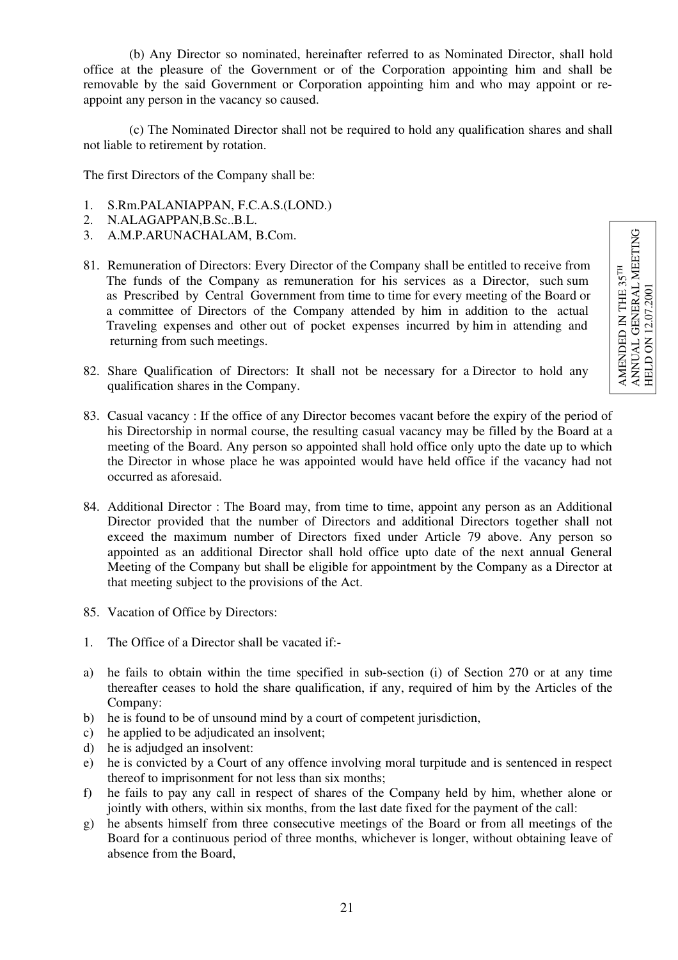$\begin{array}{ll} \text{AMENDED IN THE 35}^{\text{TH}}\\ \text{ANUAL GENERAL MERTING}\\ \text{HELD ON 12.07.2001} \end{array}$ ANNUAL GENERAL MEETING AMENDED IN THE 35TH HELD ON 12.07.2001

(b) Any Director so nominated, hereinafter referred to as Nominated Director, shall hold office at the pleasure of the Government or of the Corporation appointing him and shall be removable by the said Government or Corporation appointing him and who may appoint or reappoint any person in the vacancy so caused.

(c) The Nominated Director shall not be required to hold any qualification shares and shall not liable to retirement by rotation.

The first Directors of the Company shall be:

- 1. S.Rm.PALANIAPPAN, F.C.A.S.(LOND.)
- 2. N.ALAGAPPAN,B.Sc..B.L.
- 3. A.M.P.ARUNACHALAM, B.Com.
- 81. Remuneration of Directors: Every Director of the Company shall be entitled to receive from The funds of the Company as remuneration for his services as a Director, such sum as Prescribed by Central Government from time to time for every meeting of the Board or a committee of Directors of the Company attended by him in addition to the actual Traveling expenses and other out of pocket expenses incurred by him in attending and returning from such meetings.
- 82. Share Qualification of Directors: It shall not be necessary for a Director to hold any qualification shares in the Company.
- 83. Casual vacancy : If the office of any Director becomes vacant before the expiry of the period of his Directorship in normal course, the resulting casual vacancy may be filled by the Board at a meeting of the Board. Any person so appointed shall hold office only upto the date up to which the Director in whose place he was appointed would have held office if the vacancy had not occurred as aforesaid.
- 84. Additional Director : The Board may, from time to time, appoint any person as an Additional Director provided that the number of Directors and additional Directors together shall not exceed the maximum number of Directors fixed under Article 79 above. Any person so appointed as an additional Director shall hold office upto date of the next annual General Meeting of the Company but shall be eligible for appointment by the Company as a Director at that meeting subject to the provisions of the Act.
- 85. Vacation of Office by Directors:
- 1. The Office of a Director shall be vacated if:-
- a) he fails to obtain within the time specified in sub-section (i) of Section 270 or at any time thereafter ceases to hold the share qualification, if any, required of him by the Articles of the Company:
- b) he is found to be of unsound mind by a court of competent jurisdiction,
- c) he applied to be adjudicated an insolvent;
- d) he is adjudged an insolvent:
- e) he is convicted by a Court of any offence involving moral turpitude and is sentenced in respect thereof to imprisonment for not less than six months;
- f) he fails to pay any call in respect of shares of the Company held by him, whether alone or jointly with others, within six months, from the last date fixed for the payment of the call:
- g) he absents himself from three consecutive meetings of the Board or from all meetings of the Board for a continuous period of three months, whichever is longer, without obtaining leave of absence from the Board,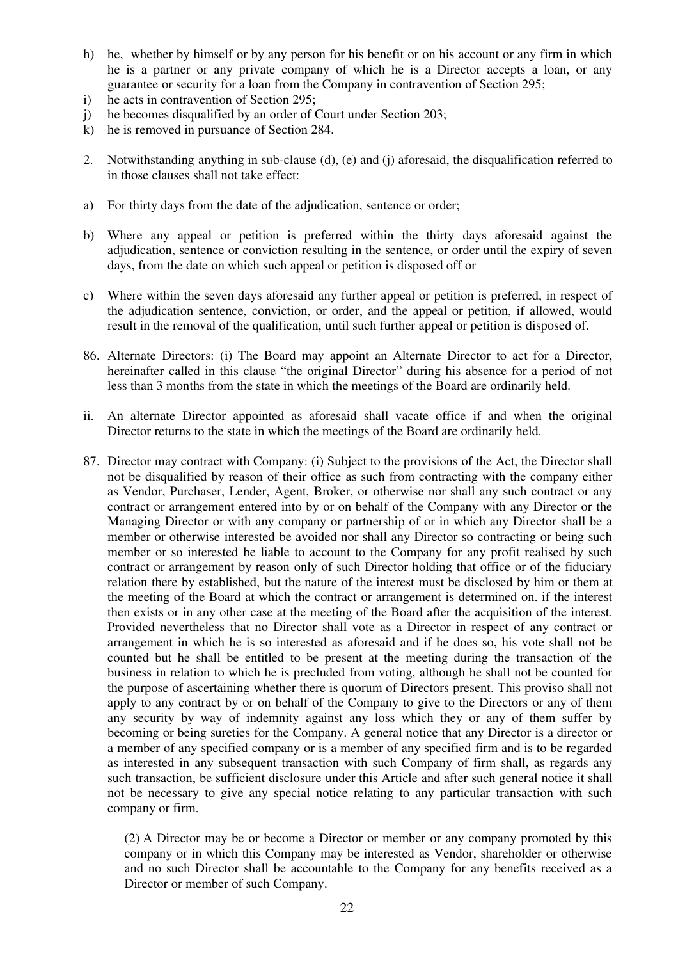- h) he, whether by himself or by any person for his benefit or on his account or any firm in which he is a partner or any private company of which he is a Director accepts a loan, or any guarantee or security for a loan from the Company in contravention of Section 295;
- i) he acts in contravention of Section 295;
- j) he becomes disqualified by an order of Court under Section 203;
- k) he is removed in pursuance of Section 284.
- 2. Notwithstanding anything in sub-clause (d), (e) and (j) aforesaid, the disqualification referred to in those clauses shall not take effect:
- a) For thirty days from the date of the adjudication, sentence or order;
- b) Where any appeal or petition is preferred within the thirty days aforesaid against the adjudication, sentence or conviction resulting in the sentence, or order until the expiry of seven days, from the date on which such appeal or petition is disposed off or
- c) Where within the seven days aforesaid any further appeal or petition is preferred, in respect of the adjudication sentence, conviction, or order, and the appeal or petition, if allowed, would result in the removal of the qualification, until such further appeal or petition is disposed of.
- 86. Alternate Directors: (i) The Board may appoint an Alternate Director to act for a Director, hereinafter called in this clause "the original Director" during his absence for a period of not less than 3 months from the state in which the meetings of the Board are ordinarily held.
- ii. An alternate Director appointed as aforesaid shall vacate office if and when the original Director returns to the state in which the meetings of the Board are ordinarily held.
- 87. Director may contract with Company: (i) Subject to the provisions of the Act, the Director shall not be disqualified by reason of their office as such from contracting with the company either as Vendor, Purchaser, Lender, Agent, Broker, or otherwise nor shall any such contract or any contract or arrangement entered into by or on behalf of the Company with any Director or the Managing Director or with any company or partnership of or in which any Director shall be a member or otherwise interested be avoided nor shall any Director so contracting or being such member or so interested be liable to account to the Company for any profit realised by such contract or arrangement by reason only of such Director holding that office or of the fiduciary relation there by established, but the nature of the interest must be disclosed by him or them at the meeting of the Board at which the contract or arrangement is determined on. if the interest then exists or in any other case at the meeting of the Board after the acquisition of the interest. Provided nevertheless that no Director shall vote as a Director in respect of any contract or arrangement in which he is so interested as aforesaid and if he does so, his vote shall not be counted but he shall be entitled to be present at the meeting during the transaction of the business in relation to which he is precluded from voting, although he shall not be counted for the purpose of ascertaining whether there is quorum of Directors present. This proviso shall not apply to any contract by or on behalf of the Company to give to the Directors or any of them any security by way of indemnity against any loss which they or any of them suffer by becoming or being sureties for the Company. A general notice that any Director is a director or a member of any specified company or is a member of any specified firm and is to be regarded as interested in any subsequent transaction with such Company of firm shall, as regards any such transaction, be sufficient disclosure under this Article and after such general notice it shall not be necessary to give any special notice relating to any particular transaction with such company or firm.

(2) A Director may be or become a Director or member or any company promoted by this company or in which this Company may be interested as Vendor, shareholder or otherwise and no such Director shall be accountable to the Company for any benefits received as a Director or member of such Company.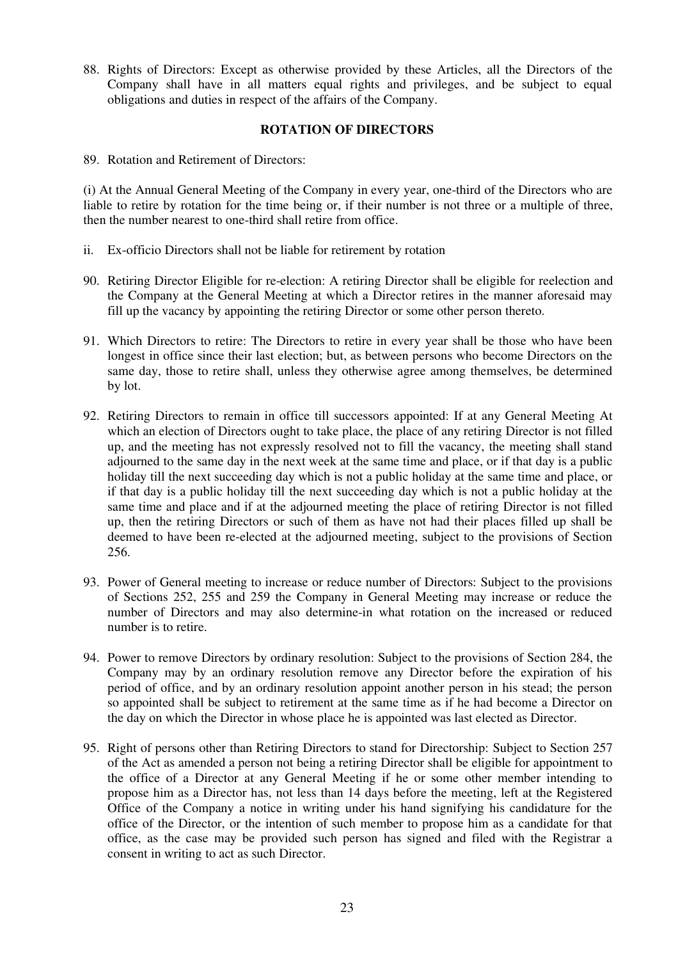88. Rights of Directors: Except as otherwise provided by these Articles, all the Directors of the Company shall have in all matters equal rights and privileges, and be subject to equal obligations and duties in respect of the affairs of the Company.

## **ROTATION OF DIRECTORS**

89 Rotation and Retirement of Directors:

(i) At the Annual General Meeting of the Company in every year, one-third of the Directors who are liable to retire by rotation for the time being or, if their number is not three or a multiple of three, then the number nearest to one-third shall retire from office.

- ii. Ex-officio Directors shall not be liable for retirement by rotation
- 90. Retiring Director Eligible for re-election: A retiring Director shall be eligible for reelection and the Company at the General Meeting at which a Director retires in the manner aforesaid may fill up the vacancy by appointing the retiring Director or some other person thereto.
- 91. Which Directors to retire: The Directors to retire in every year shall be those who have been longest in office since their last election; but, as between persons who become Directors on the same day, those to retire shall, unless they otherwise agree among themselves, be determined by lot.
- 92. Retiring Directors to remain in office till successors appointed: If at any General Meeting At which an election of Directors ought to take place, the place of any retiring Director is not filled up, and the meeting has not expressly resolved not to fill the vacancy, the meeting shall stand adjourned to the same day in the next week at the same time and place, or if that day is a public holiday till the next succeeding day which is not a public holiday at the same time and place, or if that day is a public holiday till the next succeeding day which is not a public holiday at the same time and place and if at the adjourned meeting the place of retiring Director is not filled up, then the retiring Directors or such of them as have not had their places filled up shall be deemed to have been re-elected at the adjourned meeting, subject to the provisions of Section 256.
- 93. Power of General meeting to increase or reduce number of Directors: Subject to the provisions of Sections 252, 255 and 259 the Company in General Meeting may increase or reduce the number of Directors and may also determine-in what rotation on the increased or reduced number is to retire.
- 94. Power to remove Directors by ordinary resolution: Subject to the provisions of Section 284, the Company may by an ordinary resolution remove any Director before the expiration of his period of office, and by an ordinary resolution appoint another person in his stead; the person so appointed shall be subject to retirement at the same time as if he had become a Director on the day on which the Director in whose place he is appointed was last elected as Director.
- 95. Right of persons other than Retiring Directors to stand for Directorship: Subject to Section 257 of the Act as amended a person not being a retiring Director shall be eligible for appointment to the office of a Director at any General Meeting if he or some other member intending to propose him as a Director has, not less than 14 days before the meeting, left at the Registered Office of the Company a notice in writing under his hand signifying his candidature for the office of the Director, or the intention of such member to propose him as a candidate for that office, as the case may be provided such person has signed and filed with the Registrar a consent in writing to act as such Director.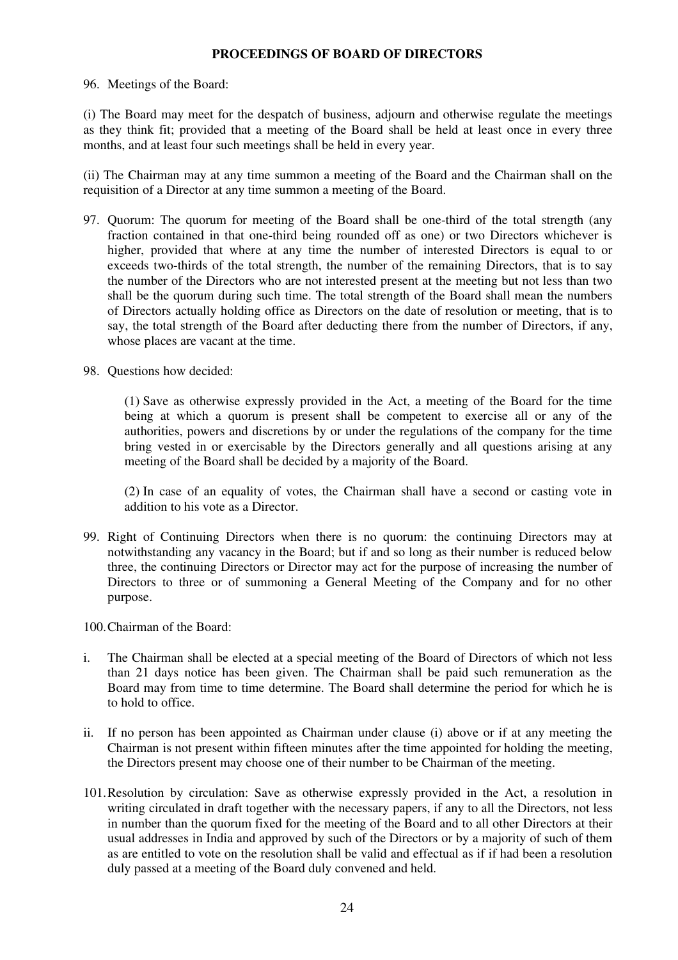## **PROCEEDINGS OF BOARD OF DIRECTORS**

#### 96. Meetings of the Board:

(i) The Board may meet for the despatch of business, adjourn and otherwise regulate the meetings as they think fit; provided that a meeting of the Board shall be held at least once in every three months, and at least four such meetings shall be held in every year.

(ii) The Chairman may at any time summon a meeting of the Board and the Chairman shall on the requisition of a Director at any time summon a meeting of the Board.

- 97. Quorum: The quorum for meeting of the Board shall be one-third of the total strength (any fraction contained in that one-third being rounded off as one) or two Directors whichever is higher, provided that where at any time the number of interested Directors is equal to or exceeds two-thirds of the total strength, the number of the remaining Directors, that is to say the number of the Directors who are not interested present at the meeting but not less than two shall be the quorum during such time. The total strength of the Board shall mean the numbers of Directors actually holding office as Directors on the date of resolution or meeting, that is to say, the total strength of the Board after deducting there from the number of Directors, if any, whose places are vacant at the time.
- 98. Questions how decided:

(1) Save as otherwise expressly provided in the Act, a meeting of the Board for the time being at which a quorum is present shall be competent to exercise all or any of the authorities, powers and discretions by or under the regulations of the company for the time bring vested in or exercisable by the Directors generally and all questions arising at any meeting of the Board shall be decided by a majority of the Board.

(2) In case of an equality of votes, the Chairman shall have a second or casting vote in addition to his vote as a Director.

99. Right of Continuing Directors when there is no quorum: the continuing Directors may at notwithstanding any vacancy in the Board; but if and so long as their number is reduced below three, the continuing Directors or Director may act for the purpose of increasing the number of Directors to three or of summoning a General Meeting of the Company and for no other purpose.

100.Chairman of the Board:

- i. The Chairman shall be elected at a special meeting of the Board of Directors of which not less than 21 days notice has been given. The Chairman shall be paid such remuneration as the Board may from time to time determine. The Board shall determine the period for which he is to hold to office.
- ii. If no person has been appointed as Chairman under clause (i) above or if at any meeting the Chairman is not present within fifteen minutes after the time appointed for holding the meeting, the Directors present may choose one of their number to be Chairman of the meeting.
- 101.Resolution by circulation: Save as otherwise expressly provided in the Act, a resolution in writing circulated in draft together with the necessary papers, if any to all the Directors, not less in number than the quorum fixed for the meeting of the Board and to all other Directors at their usual addresses in India and approved by such of the Directors or by a majority of such of them as are entitled to vote on the resolution shall be valid and effectual as if if had been a resolution duly passed at a meeting of the Board duly convened and held.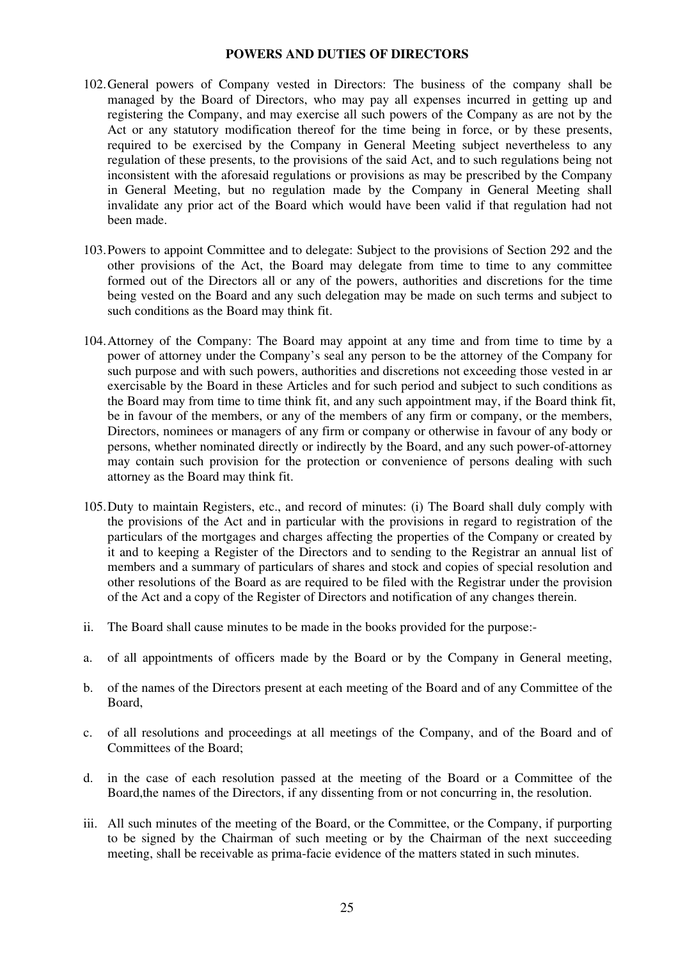### **POWERS AND DUTIES OF DIRECTORS**

- 102.General powers of Company vested in Directors: The business of the company shall be managed by the Board of Directors, who may pay all expenses incurred in getting up and registering the Company, and may exercise all such powers of the Company as are not by the Act or any statutory modification thereof for the time being in force, or by these presents, required to be exercised by the Company in General Meeting subject nevertheless to any regulation of these presents, to the provisions of the said Act, and to such regulations being not inconsistent with the aforesaid regulations or provisions as may be prescribed by the Company in General Meeting, but no regulation made by the Company in General Meeting shall invalidate any prior act of the Board which would have been valid if that regulation had not been made.
- 103.Powers to appoint Committee and to delegate: Subject to the provisions of Section 292 and the other provisions of the Act, the Board may delegate from time to time to any committee formed out of the Directors all or any of the powers, authorities and discretions for the time being vested on the Board and any such delegation may be made on such terms and subject to such conditions as the Board may think fit.
- 104.Attorney of the Company: The Board may appoint at any time and from time to time by a power of attorney under the Company's seal any person to be the attorney of the Company for such purpose and with such powers, authorities and discretions not exceeding those vested in ar exercisable by the Board in these Articles and for such period and subject to such conditions as the Board may from time to time think fit, and any such appointment may, if the Board think fit, be in favour of the members, or any of the members of any firm or company, or the members, Directors, nominees or managers of any firm or company or otherwise in favour of any body or persons, whether nominated directly or indirectly by the Board, and any such power-of-attorney may contain such provision for the protection or convenience of persons dealing with such attorney as the Board may think fit.
- 105.Duty to maintain Registers, etc., and record of minutes: (i) The Board shall duly comply with the provisions of the Act and in particular with the provisions in regard to registration of the particulars of the mortgages and charges affecting the properties of the Company or created by it and to keeping a Register of the Directors and to sending to the Registrar an annual list of members and a summary of particulars of shares and stock and copies of special resolution and other resolutions of the Board as are required to be filed with the Registrar under the provision of the Act and a copy of the Register of Directors and notification of any changes therein.
- ii. The Board shall cause minutes to be made in the books provided for the purpose:-
- a. of all appointments of officers made by the Board or by the Company in General meeting,
- b. of the names of the Directors present at each meeting of the Board and of any Committee of the Board,
- c. of all resolutions and proceedings at all meetings of the Company, and of the Board and of Committees of the Board;
- d. in the case of each resolution passed at the meeting of the Board or a Committee of the Board,the names of the Directors, if any dissenting from or not concurring in, the resolution.
- iii. All such minutes of the meeting of the Board, or the Committee, or the Company, if purporting to be signed by the Chairman of such meeting or by the Chairman of the next succeeding meeting, shall be receivable as prima-facie evidence of the matters stated in such minutes.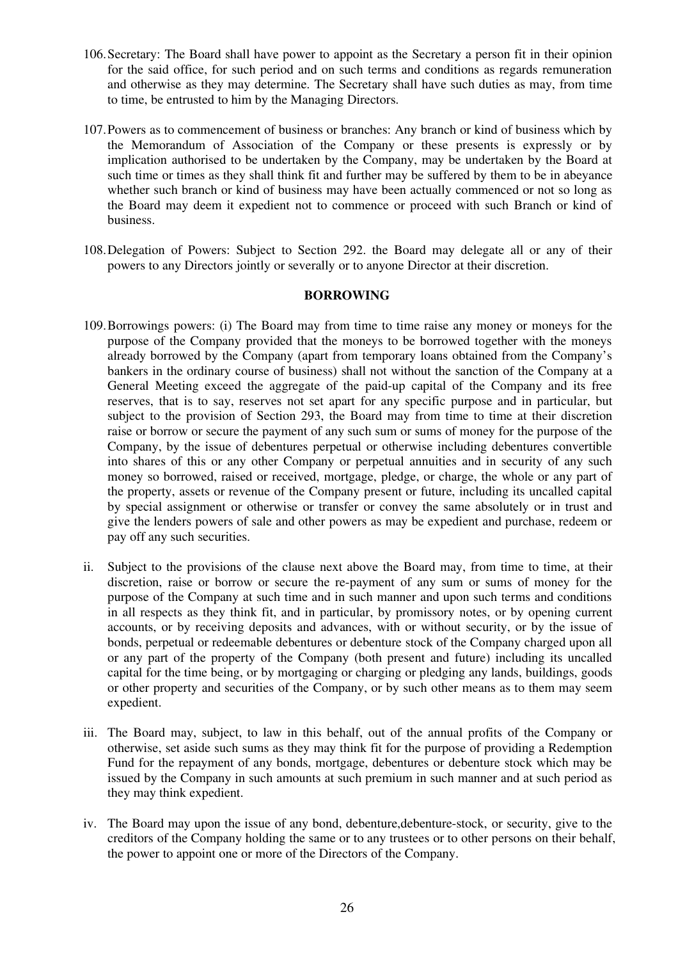- 106.Secretary: The Board shall have power to appoint as the Secretary a person fit in their opinion for the said office, for such period and on such terms and conditions as regards remuneration and otherwise as they may determine. The Secretary shall have such duties as may, from time to time, be entrusted to him by the Managing Directors.
- 107.Powers as to commencement of business or branches: Any branch or kind of business which by the Memorandum of Association of the Company or these presents is expressly or by implication authorised to be undertaken by the Company, may be undertaken by the Board at such time or times as they shall think fit and further may be suffered by them to be in abeyance whether such branch or kind of business may have been actually commenced or not so long as the Board may deem it expedient not to commence or proceed with such Branch or kind of business.
- 108.Delegation of Powers: Subject to Section 292. the Board may delegate all or any of their powers to any Directors jointly or severally or to anyone Director at their discretion.

## **BORROWING**

- 109.Borrowings powers: (i) The Board may from time to time raise any money or moneys for the purpose of the Company provided that the moneys to be borrowed together with the moneys already borrowed by the Company (apart from temporary loans obtained from the Company's bankers in the ordinary course of business) shall not without the sanction of the Company at a General Meeting exceed the aggregate of the paid-up capital of the Company and its free reserves, that is to say, reserves not set apart for any specific purpose and in particular, but subject to the provision of Section 293, the Board may from time to time at their discretion raise or borrow or secure the payment of any such sum or sums of money for the purpose of the Company, by the issue of debentures perpetual or otherwise including debentures convertible into shares of this or any other Company or perpetual annuities and in security of any such money so borrowed, raised or received, mortgage, pledge, or charge, the whole or any part of the property, assets or revenue of the Company present or future, including its uncalled capital by special assignment or otherwise or transfer or convey the same absolutely or in trust and give the lenders powers of sale and other powers as may be expedient and purchase, redeem or pay off any such securities.
- ii. Subject to the provisions of the clause next above the Board may, from time to time, at their discretion, raise or borrow or secure the re-payment of any sum or sums of money for the purpose of the Company at such time and in such manner and upon such terms and conditions in all respects as they think fit, and in particular, by promissory notes, or by opening current accounts, or by receiving deposits and advances, with or without security, or by the issue of bonds, perpetual or redeemable debentures or debenture stock of the Company charged upon all or any part of the property of the Company (both present and future) including its uncalled capital for the time being, or by mortgaging or charging or pledging any lands, buildings, goods or other property and securities of the Company, or by such other means as to them may seem expedient.
- iii. The Board may, subject, to law in this behalf, out of the annual profits of the Company or otherwise, set aside such sums as they may think fit for the purpose of providing a Redemption Fund for the repayment of any bonds, mortgage, debentures or debenture stock which may be issued by the Company in such amounts at such premium in such manner and at such period as they may think expedient.
- iv. The Board may upon the issue of any bond, debenture,debenture-stock, or security, give to the creditors of the Company holding the same or to any trustees or to other persons on their behalf, the power to appoint one or more of the Directors of the Company.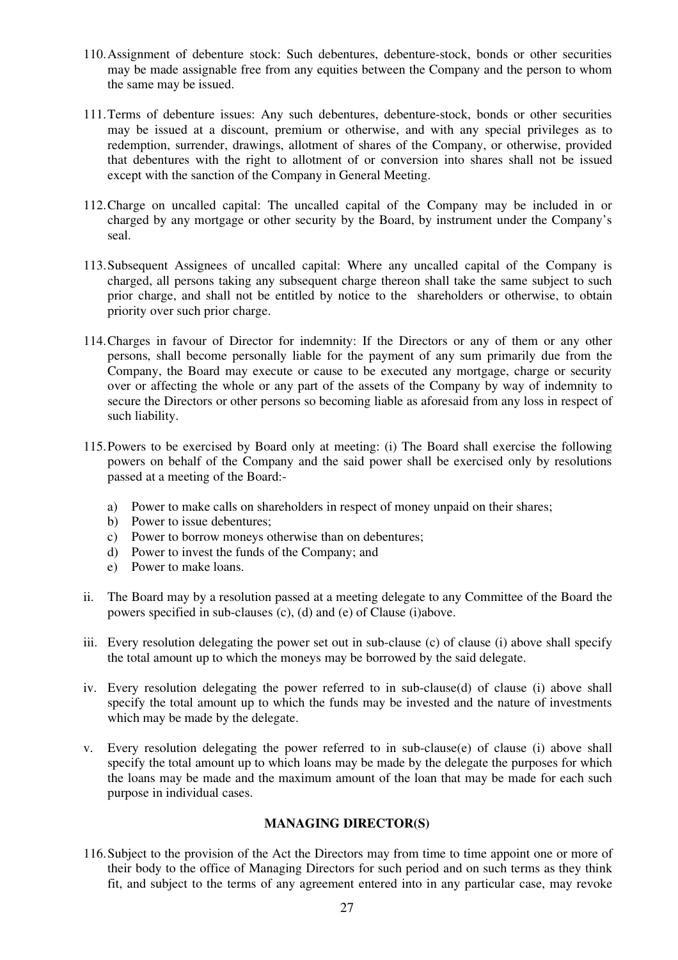- 110.Assignment of debenture stock: Such debentures, debenture-stock, bonds or other securities may be made assignable free from any equities between the Company and the person to whom the same may be issued.
- 111.Terms of debenture issues: Any such debentures, debenture-stock, bonds or other securities may be issued at a discount, premium or otherwise, and with any special privileges as to redemption, surrender, drawings, allotment of shares of the Company, or otherwise, provided that debentures with the right to allotment of or conversion into shares shall not be issued except with the sanction of the Company in General Meeting.
- 112.Charge on uncalled capital: The uncalled capital of the Company may be included in or charged by any mortgage or other security by the Board, by instrument under the Company's seal.
- 113.Subsequent Assignees of uncalled capital: Where any uncalled capital of the Company is charged, all persons taking any subsequent charge thereon shall take the same subject to such prior charge, and shall not be entitled by notice to the shareholders or otherwise, to obtain priority over such prior charge.
- 114.Charges in favour of Director for indemnity: If the Directors or any of them or any other persons, shall become personally liable for the payment of any sum primarily due from the Company, the Board may execute or cause to be executed any mortgage, charge or security over or affecting the whole or any part of the assets of the Company by way of indemnity to secure the Directors or other persons so becoming liable as aforesaid from any loss in respect of such liability.
- 115.Powers to be exercised by Board only at meeting: (i) The Board shall exercise the following powers on behalf of the Company and the said power shall be exercised only by resolutions passed at a meeting of the Board:
	- a) Power to make calls on shareholders in respect of money unpaid on their shares;
	- b) Power to issue debentures;
	- c) Power to borrow moneys otherwise than on debentures;
	- d) Power to invest the funds of the Company; and
	- e) Power to make loans.
- ii. The Board may by a resolution passed at a meeting delegate to any Committee of the Board the powers specified in sub-clauses (c), (d) and (e) of Clause (i)above.
- iii. Every resolution delegating the power set out in sub-clause (c) of clause (i) above shall specify the total amount up to which the moneys may be borrowed by the said delegate.
- iv. Every resolution delegating the power referred to in sub-clause(d) of clause (i) above shall specify the total amount up to which the funds may be invested and the nature of investments which may be made by the delegate.
- v. Every resolution delegating the power referred to in sub-clause(e) of clause (i) above shall specify the total amount up to which loans may be made by the delegate the purposes for which the loans may be made and the maximum amount of the loan that may be made for each such purpose in individual cases.

### **MANAGING DIRECTOR(S)**

116.Subject to the provision of the Act the Directors may from time to time appoint one or more of their body to the office of Managing Directors for such period and on such terms as they think fit, and subject to the terms of any agreement entered into in any particular case, may revoke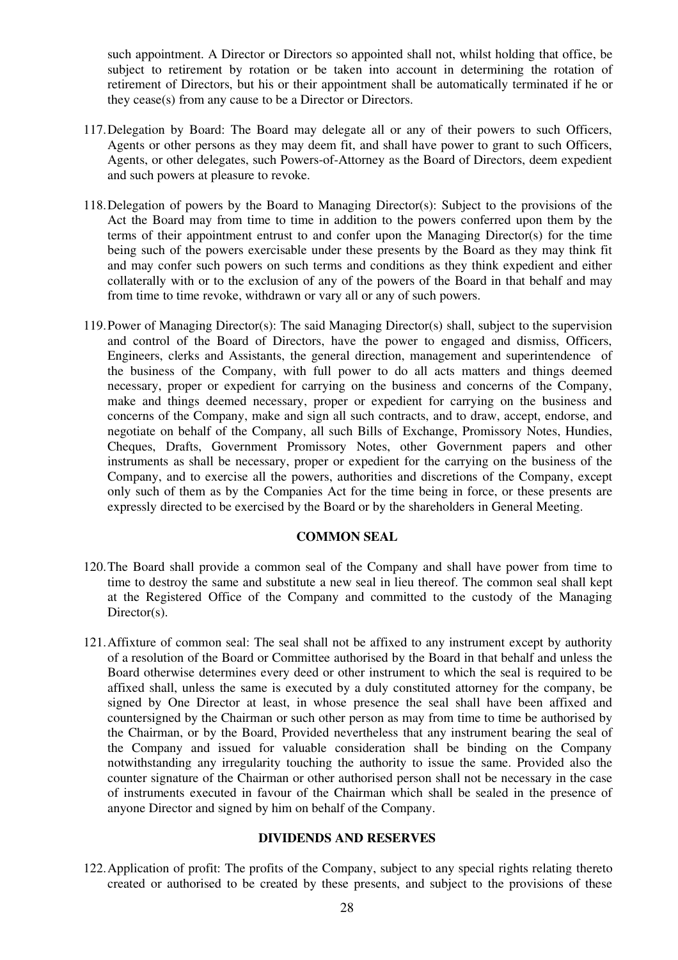such appointment. A Director or Directors so appointed shall not, whilst holding that office, be subject to retirement by rotation or be taken into account in determining the rotation of retirement of Directors, but his or their appointment shall be automatically terminated if he or they cease(s) from any cause to be a Director or Directors.

- 117.Delegation by Board: The Board may delegate all or any of their powers to such Officers, Agents or other persons as they may deem fit, and shall have power to grant to such Officers, Agents, or other delegates, such Powers-of-Attorney as the Board of Directors, deem expedient and such powers at pleasure to revoke.
- 118.Delegation of powers by the Board to Managing Director(s): Subject to the provisions of the Act the Board may from time to time in addition to the powers conferred upon them by the terms of their appointment entrust to and confer upon the Managing Director(s) for the time being such of the powers exercisable under these presents by the Board as they may think fit and may confer such powers on such terms and conditions as they think expedient and either collaterally with or to the exclusion of any of the powers of the Board in that behalf and may from time to time revoke, withdrawn or vary all or any of such powers.
- 119.Power of Managing Director(s): The said Managing Director(s) shall, subject to the supervision and control of the Board of Directors, have the power to engaged and dismiss, Officers, Engineers, clerks and Assistants, the general direction, management and superintendence of the business of the Company, with full power to do all acts matters and things deemed necessary, proper or expedient for carrying on the business and concerns of the Company, make and things deemed necessary, proper or expedient for carrying on the business and concerns of the Company, make and sign all such contracts, and to draw, accept, endorse, and negotiate on behalf of the Company, all such Bills of Exchange, Promissory Notes, Hundies, Cheques, Drafts, Government Promissory Notes, other Government papers and other instruments as shall be necessary, proper or expedient for the carrying on the business of the Company, and to exercise all the powers, authorities and discretions of the Company, except only such of them as by the Companies Act for the time being in force, or these presents are expressly directed to be exercised by the Board or by the shareholders in General Meeting.

### **COMMON SEAL**

- 120.The Board shall provide a common seal of the Company and shall have power from time to time to destroy the same and substitute a new seal in lieu thereof. The common seal shall kept at the Registered Office of the Company and committed to the custody of the Managing Director(s).
- 121.Affixture of common seal: The seal shall not be affixed to any instrument except by authority of a resolution of the Board or Committee authorised by the Board in that behalf and unless the Board otherwise determines every deed or other instrument to which the seal is required to be affixed shall, unless the same is executed by a duly constituted attorney for the company, be signed by One Director at least, in whose presence the seal shall have been affixed and countersigned by the Chairman or such other person as may from time to time be authorised by the Chairman, or by the Board, Provided nevertheless that any instrument bearing the seal of the Company and issued for valuable consideration shall be binding on the Company notwithstanding any irregularity touching the authority to issue the same. Provided also the counter signature of the Chairman or other authorised person shall not be necessary in the case of instruments executed in favour of the Chairman which shall be sealed in the presence of anyone Director and signed by him on behalf of the Company.

### **DIVIDENDS AND RESERVES**

122.Application of profit: The profits of the Company, subject to any special rights relating thereto created or authorised to be created by these presents, and subject to the provisions of these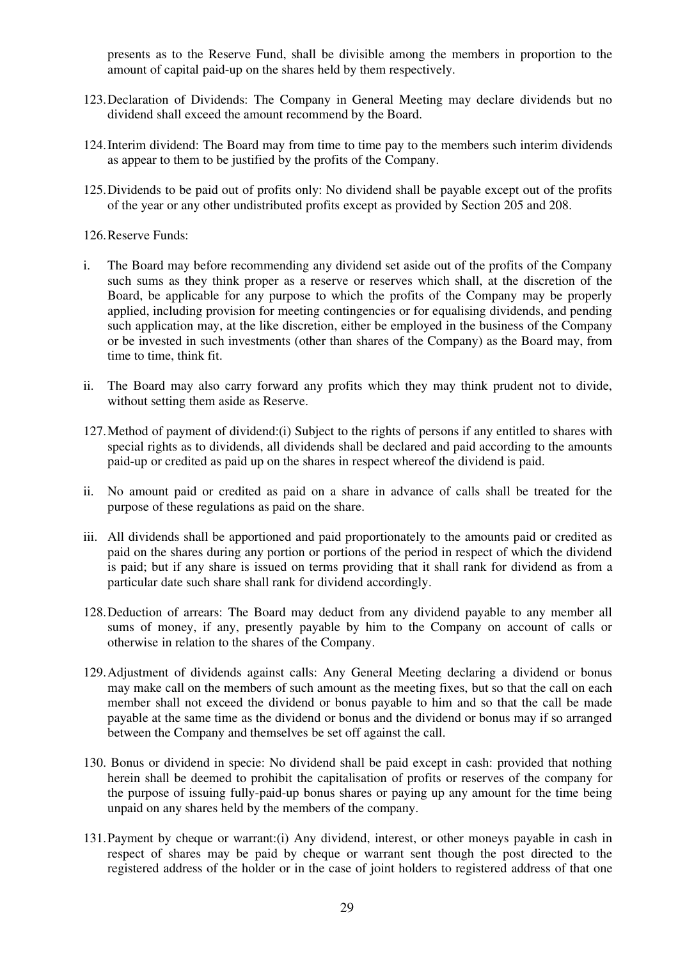presents as to the Reserve Fund, shall be divisible among the members in proportion to the amount of capital paid-up on the shares held by them respectively.

- 123.Declaration of Dividends: The Company in General Meeting may declare dividends but no dividend shall exceed the amount recommend by the Board.
- 124.Interim dividend: The Board may from time to time pay to the members such interim dividends as appear to them to be justified by the profits of the Company.
- 125.Dividends to be paid out of profits only: No dividend shall be payable except out of the profits of the year or any other undistributed profits except as provided by Section 205 and 208.

#### 126.Reserve Funds:

- i. The Board may before recommending any dividend set aside out of the profits of the Company such sums as they think proper as a reserve or reserves which shall, at the discretion of the Board, be applicable for any purpose to which the profits of the Company may be properly applied, including provision for meeting contingencies or for equalising dividends, and pending such application may, at the like discretion, either be employed in the business of the Company or be invested in such investments (other than shares of the Company) as the Board may, from time to time, think fit.
- ii. The Board may also carry forward any profits which they may think prudent not to divide, without setting them aside as Reserve.
- 127.Method of payment of dividend:(i) Subject to the rights of persons if any entitled to shares with special rights as to dividends, all dividends shall be declared and paid according to the amounts paid-up or credited as paid up on the shares in respect whereof the dividend is paid.
- ii. No amount paid or credited as paid on a share in advance of calls shall be treated for the purpose of these regulations as paid on the share.
- iii. All dividends shall be apportioned and paid proportionately to the amounts paid or credited as paid on the shares during any portion or portions of the period in respect of which the dividend is paid; but if any share is issued on terms providing that it shall rank for dividend as from a particular date such share shall rank for dividend accordingly.
- 128.Deduction of arrears: The Board may deduct from any dividend payable to any member all sums of money, if any, presently payable by him to the Company on account of calls or otherwise in relation to the shares of the Company.
- 129.Adjustment of dividends against calls: Any General Meeting declaring a dividend or bonus may make call on the members of such amount as the meeting fixes, but so that the call on each member shall not exceed the dividend or bonus payable to him and so that the call be made payable at the same time as the dividend or bonus and the dividend or bonus may if so arranged between the Company and themselves be set off against the call.
- 130. Bonus or dividend in specie: No dividend shall be paid except in cash: provided that nothing herein shall be deemed to prohibit the capitalisation of profits or reserves of the company for the purpose of issuing fully-paid-up bonus shares or paying up any amount for the time being unpaid on any shares held by the members of the company.
- 131.Payment by cheque or warrant:(i) Any dividend, interest, or other moneys payable in cash in respect of shares may be paid by cheque or warrant sent though the post directed to the registered address of the holder or in the case of joint holders to registered address of that one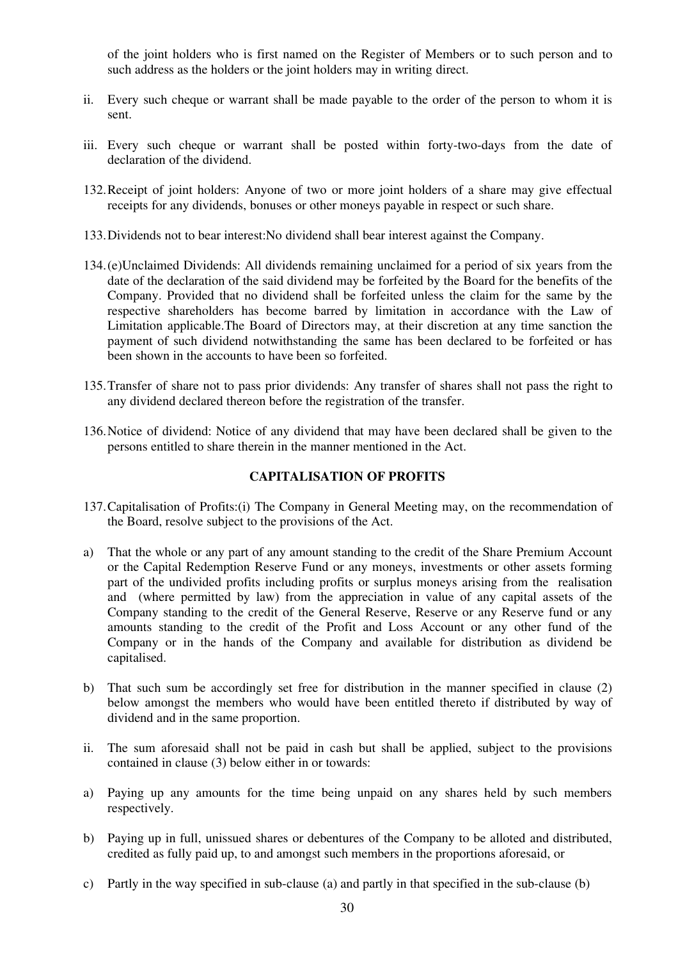of the joint holders who is first named on the Register of Members or to such person and to such address as the holders or the joint holders may in writing direct.

- ii. Every such cheque or warrant shall be made payable to the order of the person to whom it is sent.
- iii. Every such cheque or warrant shall be posted within forty-two-days from the date of declaration of the dividend.
- 132.Receipt of joint holders: Anyone of two or more joint holders of a share may give effectual receipts for any dividends, bonuses or other moneys payable in respect or such share.
- 133.Dividends not to bear interest:No dividend shall bear interest against the Company.
- 134.(e)Unclaimed Dividends: All dividends remaining unclaimed for a period of six years from the date of the declaration of the said dividend may be forfeited by the Board for the benefits of the Company. Provided that no dividend shall be forfeited unless the claim for the same by the respective shareholders has become barred by limitation in accordance with the Law of Limitation applicable.The Board of Directors may, at their discretion at any time sanction the payment of such dividend notwithstanding the same has been declared to be forfeited or has been shown in the accounts to have been so forfeited.
- 135.Transfer of share not to pass prior dividends: Any transfer of shares shall not pass the right to any dividend declared thereon before the registration of the transfer.
- 136.Notice of dividend: Notice of any dividend that may have been declared shall be given to the persons entitled to share therein in the manner mentioned in the Act.

# **CAPITALISATION OF PROFITS**

- 137.Capitalisation of Profits:(i) The Company in General Meeting may, on the recommendation of the Board, resolve subject to the provisions of the Act.
- a) That the whole or any part of any amount standing to the credit of the Share Premium Account or the Capital Redemption Reserve Fund or any moneys, investments or other assets forming part of the undivided profits including profits or surplus moneys arising from the realisation and (where permitted by law) from the appreciation in value of any capital assets of the Company standing to the credit of the General Reserve, Reserve or any Reserve fund or any amounts standing to the credit of the Profit and Loss Account or any other fund of the Company or in the hands of the Company and available for distribution as dividend be capitalised.
- b) That such sum be accordingly set free for distribution in the manner specified in clause (2) below amongst the members who would have been entitled thereto if distributed by way of dividend and in the same proportion.
- ii. The sum aforesaid shall not be paid in cash but shall be applied, subject to the provisions contained in clause (3) below either in or towards:
- a) Paying up any amounts for the time being unpaid on any shares held by such members respectively.
- b) Paying up in full, unissued shares or debentures of the Company to be alloted and distributed, credited as fully paid up, to and amongst such members in the proportions aforesaid, or
- c) Partly in the way specified in sub-clause (a) and partly in that specified in the sub-clause (b)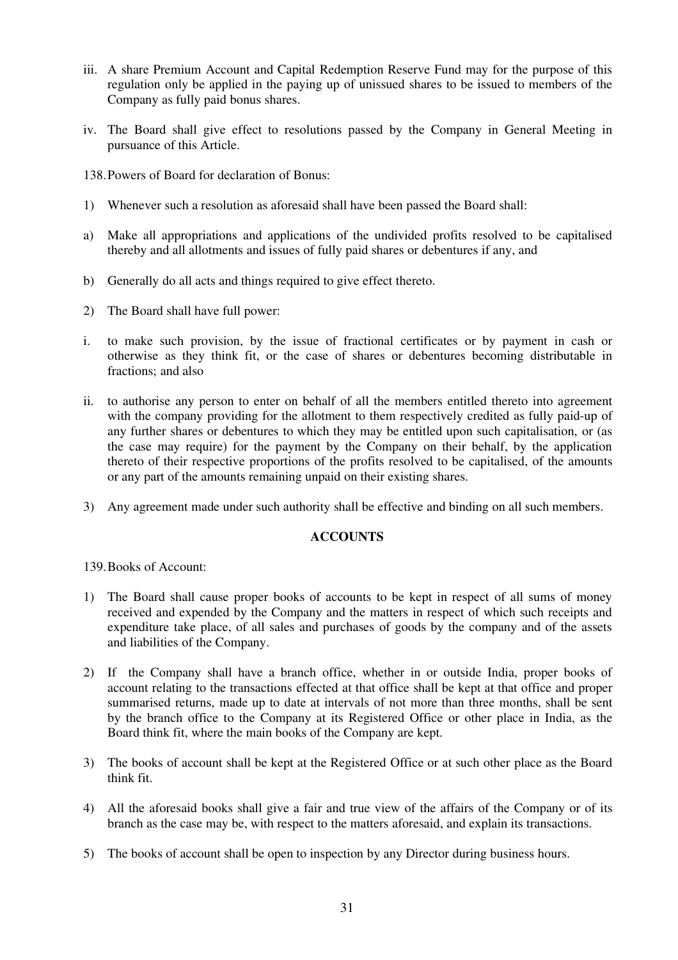- iii. A share Premium Account and Capital Redemption Reserve Fund may for the purpose of this regulation only be applied in the paying up of unissued shares to be issued to members of the Company as fully paid bonus shares.
- iv. The Board shall give effect to resolutions passed by the Company in General Meeting in pursuance of this Article.
- 138.Powers of Board for declaration of Bonus:
- 1) Whenever such a resolution as aforesaid shall have been passed the Board shall:
- a) Make all appropriations and applications of the undivided profits resolved to be capitalised thereby and all allotments and issues of fully paid shares or debentures if any, and
- b) Generally do all acts and things required to give effect thereto.
- 2) The Board shall have full power:
- i. to make such provision, by the issue of fractional certificates or by payment in cash or otherwise as they think fit, or the case of shares or debentures becoming distributable in fractions; and also
- ii. to authorise any person to enter on behalf of all the members entitled thereto into agreement with the company providing for the allotment to them respectively credited as fully paid-up of any further shares or debentures to which they may be entitled upon such capitalisation, or (as the case may require) for the payment by the Company on their behalf, by the application thereto of their respective proportions of the profits resolved to be capitalised, of the amounts or any part of the amounts remaining unpaid on their existing shares.
- 3) Any agreement made under such authority shall be effective and binding on all such members.

# **ACCOUNTS**

139.Books of Account:

- 1) The Board shall cause proper books of accounts to be kept in respect of all sums of money received and expended by the Company and the matters in respect of which such receipts and expenditure take place, of all sales and purchases of goods by the company and of the assets and liabilities of the Company.
- 2) If the Company shall have a branch office, whether in or outside India, proper books of account relating to the transactions effected at that office shall be kept at that office and proper summarised returns, made up to date at intervals of not more than three months, shall be sent by the branch office to the Company at its Registered Office or other place in India, as the Board think fit, where the main books of the Company are kept.
- 3) The books of account shall be kept at the Registered Office or at such other place as the Board think fit.
- 4) All the aforesaid books shall give a fair and true view of the affairs of the Company or of its branch as the case may be, with respect to the matters aforesaid, and explain its transactions.
- 5) The books of account shall be open to inspection by any Director during business hours.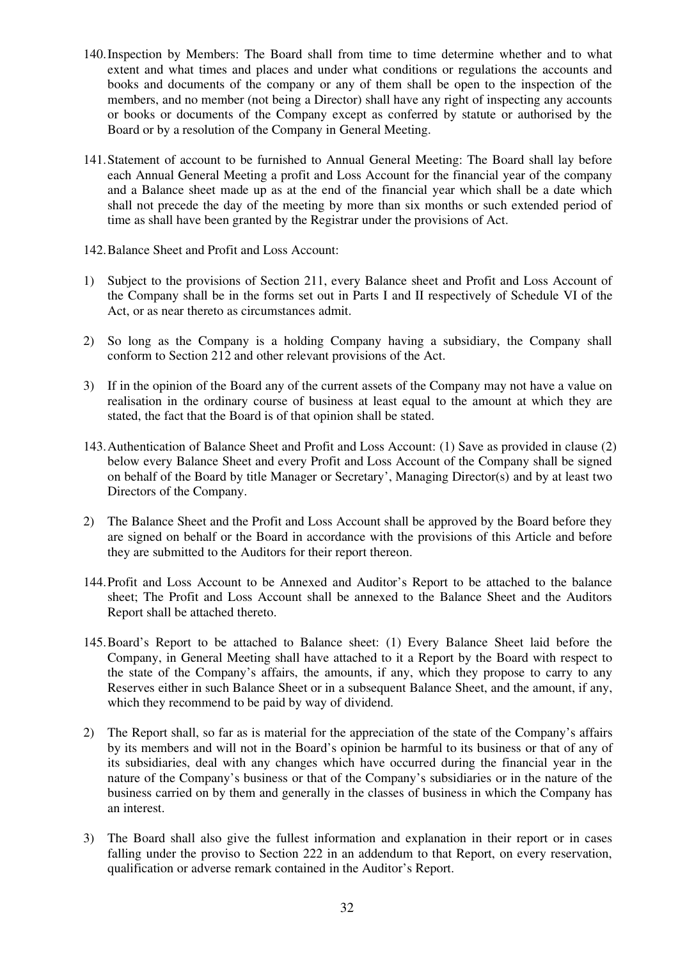- 140.Inspection by Members: The Board shall from time to time determine whether and to what extent and what times and places and under what conditions or regulations the accounts and books and documents of the company or any of them shall be open to the inspection of the members, and no member (not being a Director) shall have any right of inspecting any accounts or books or documents of the Company except as conferred by statute or authorised by the Board or by a resolution of the Company in General Meeting.
- 141.Statement of account to be furnished to Annual General Meeting: The Board shall lay before each Annual General Meeting a profit and Loss Account for the financial year of the company and a Balance sheet made up as at the end of the financial year which shall be a date which shall not precede the day of the meeting by more than six months or such extended period of time as shall have been granted by the Registrar under the provisions of Act.
- 142.Balance Sheet and Profit and Loss Account:
- 1) Subject to the provisions of Section 211, every Balance sheet and Profit and Loss Account of the Company shall be in the forms set out in Parts I and II respectively of Schedule VI of the Act, or as near thereto as circumstances admit.
- 2) So long as the Company is a holding Company having a subsidiary, the Company shall conform to Section 212 and other relevant provisions of the Act.
- 3) If in the opinion of the Board any of the current assets of the Company may not have a value on realisation in the ordinary course of business at least equal to the amount at which they are stated, the fact that the Board is of that opinion shall be stated.
- 143.Authentication of Balance Sheet and Profit and Loss Account: (1) Save as provided in clause (2) below every Balance Sheet and every Profit and Loss Account of the Company shall be signed on behalf of the Board by title Manager or Secretary', Managing Director(s) and by at least two Directors of the Company.
- 2) The Balance Sheet and the Profit and Loss Account shall be approved by the Board before they are signed on behalf or the Board in accordance with the provisions of this Article and before they are submitted to the Auditors for their report thereon.
- 144.Profit and Loss Account to be Annexed and Auditor's Report to be attached to the balance sheet; The Profit and Loss Account shall be annexed to the Balance Sheet and the Auditors Report shall be attached thereto.
- 145.Board's Report to be attached to Balance sheet: (1) Every Balance Sheet laid before the Company, in General Meeting shall have attached to it a Report by the Board with respect to the state of the Company's affairs, the amounts, if any, which they propose to carry to any Reserves either in such Balance Sheet or in a subsequent Balance Sheet, and the amount, if any, which they recommend to be paid by way of dividend.
- 2) The Report shall, so far as is material for the appreciation of the state of the Company's affairs by its members and will not in the Board's opinion be harmful to its business or that of any of its subsidiaries, deal with any changes which have occurred during the financial year in the nature of the Company's business or that of the Company's subsidiaries or in the nature of the business carried on by them and generally in the classes of business in which the Company has an interest.
- 3) The Board shall also give the fullest information and explanation in their report or in cases falling under the proviso to Section 222 in an addendum to that Report, on every reservation, qualification or adverse remark contained in the Auditor's Report.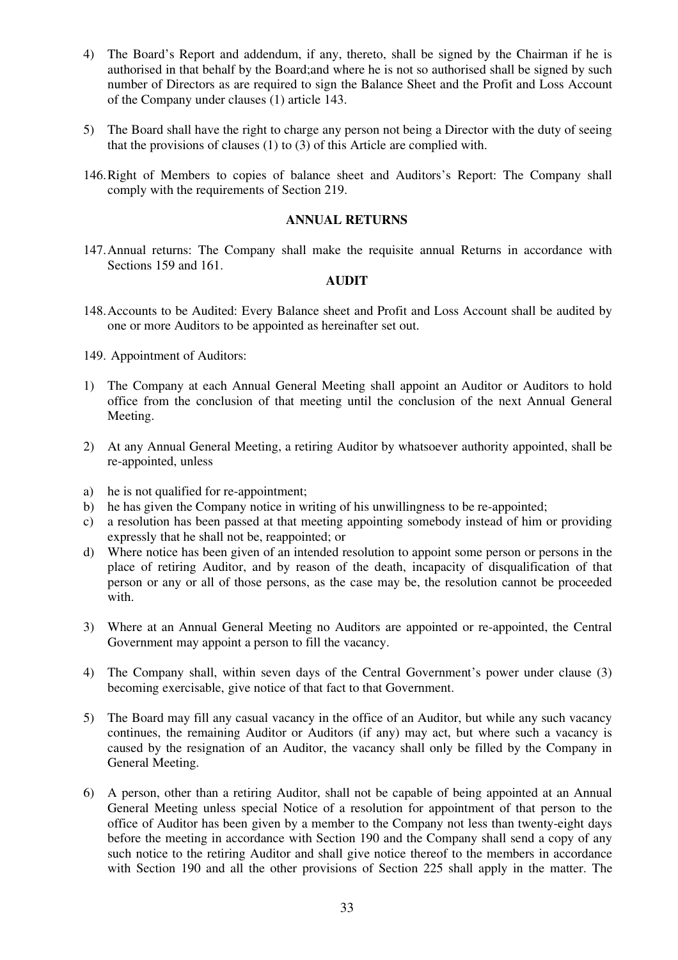- 4) The Board's Report and addendum, if any, thereto, shall be signed by the Chairman if he is authorised in that behalf by the Board;and where he is not so authorised shall be signed by such number of Directors as are required to sign the Balance Sheet and the Profit and Loss Account of the Company under clauses (1) article 143.
- 5) The Board shall have the right to charge any person not being a Director with the duty of seeing that the provisions of clauses (1) to (3) of this Article are complied with.
- 146.Right of Members to copies of balance sheet and Auditors's Report: The Company shall comply with the requirements of Section 219.

## **ANNUAL RETURNS**

147.Annual returns: The Company shall make the requisite annual Returns in accordance with Sections 159 and 161.

# **AUDIT**

- 148.Accounts to be Audited: Every Balance sheet and Profit and Loss Account shall be audited by one or more Auditors to be appointed as hereinafter set out.
- 149. Appointment of Auditors:
- 1) The Company at each Annual General Meeting shall appoint an Auditor or Auditors to hold office from the conclusion of that meeting until the conclusion of the next Annual General Meeting.
- 2) At any Annual General Meeting, a retiring Auditor by whatsoever authority appointed, shall be re-appointed, unless
- a) he is not qualified for re-appointment;
- b) he has given the Company notice in writing of his unwillingness to be re-appointed;
- c) a resolution has been passed at that meeting appointing somebody instead of him or providing expressly that he shall not be, reappointed; or
- d) Where notice has been given of an intended resolution to appoint some person or persons in the place of retiring Auditor, and by reason of the death, incapacity of disqualification of that person or any or all of those persons, as the case may be, the resolution cannot be proceeded with.
- 3) Where at an Annual General Meeting no Auditors are appointed or re-appointed, the Central Government may appoint a person to fill the vacancy.
- 4) The Company shall, within seven days of the Central Government's power under clause (3) becoming exercisable, give notice of that fact to that Government.
- 5) The Board may fill any casual vacancy in the office of an Auditor, but while any such vacancy continues, the remaining Auditor or Auditors (if any) may act, but where such a vacancy is caused by the resignation of an Auditor, the vacancy shall only be filled by the Company in General Meeting.
- 6) A person, other than a retiring Auditor, shall not be capable of being appointed at an Annual General Meeting unless special Notice of a resolution for appointment of that person to the office of Auditor has been given by a member to the Company not less than twenty-eight days before the meeting in accordance with Section 190 and the Company shall send a copy of any such notice to the retiring Auditor and shall give notice thereof to the members in accordance with Section 190 and all the other provisions of Section 225 shall apply in the matter. The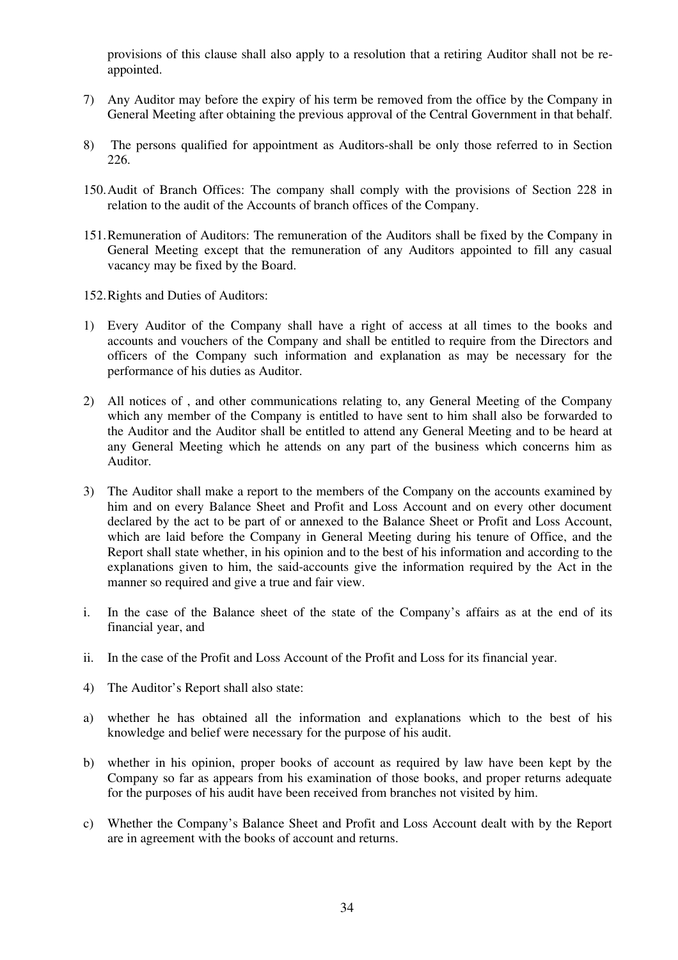provisions of this clause shall also apply to a resolution that a retiring Auditor shall not be reappointed.

- 7) Any Auditor may before the expiry of his term be removed from the office by the Company in General Meeting after obtaining the previous approval of the Central Government in that behalf.
- 8) The persons qualified for appointment as Auditors-shall be only those referred to in Section 226.
- 150.Audit of Branch Offices: The company shall comply with the provisions of Section 228 in relation to the audit of the Accounts of branch offices of the Company.
- 151.Remuneration of Auditors: The remuneration of the Auditors shall be fixed by the Company in General Meeting except that the remuneration of any Auditors appointed to fill any casual vacancy may be fixed by the Board.
- 152.Rights and Duties of Auditors:
- 1) Every Auditor of the Company shall have a right of access at all times to the books and accounts and vouchers of the Company and shall be entitled to require from the Directors and officers of the Company such information and explanation as may be necessary for the performance of his duties as Auditor.
- 2) All notices of , and other communications relating to, any General Meeting of the Company which any member of the Company is entitled to have sent to him shall also be forwarded to the Auditor and the Auditor shall be entitled to attend any General Meeting and to be heard at any General Meeting which he attends on any part of the business which concerns him as Auditor.
- 3) The Auditor shall make a report to the members of the Company on the accounts examined by him and on every Balance Sheet and Profit and Loss Account and on every other document declared by the act to be part of or annexed to the Balance Sheet or Profit and Loss Account, which are laid before the Company in General Meeting during his tenure of Office, and the Report shall state whether, in his opinion and to the best of his information and according to the explanations given to him, the said-accounts give the information required by the Act in the manner so required and give a true and fair view.
- i. In the case of the Balance sheet of the state of the Company's affairs as at the end of its financial year, and
- ii. In the case of the Profit and Loss Account of the Profit and Loss for its financial year.
- 4) The Auditor's Report shall also state:
- a) whether he has obtained all the information and explanations which to the best of his knowledge and belief were necessary for the purpose of his audit.
- b) whether in his opinion, proper books of account as required by law have been kept by the Company so far as appears from his examination of those books, and proper returns adequate for the purposes of his audit have been received from branches not visited by him.
- c) Whether the Company's Balance Sheet and Profit and Loss Account dealt with by the Report are in agreement with the books of account and returns.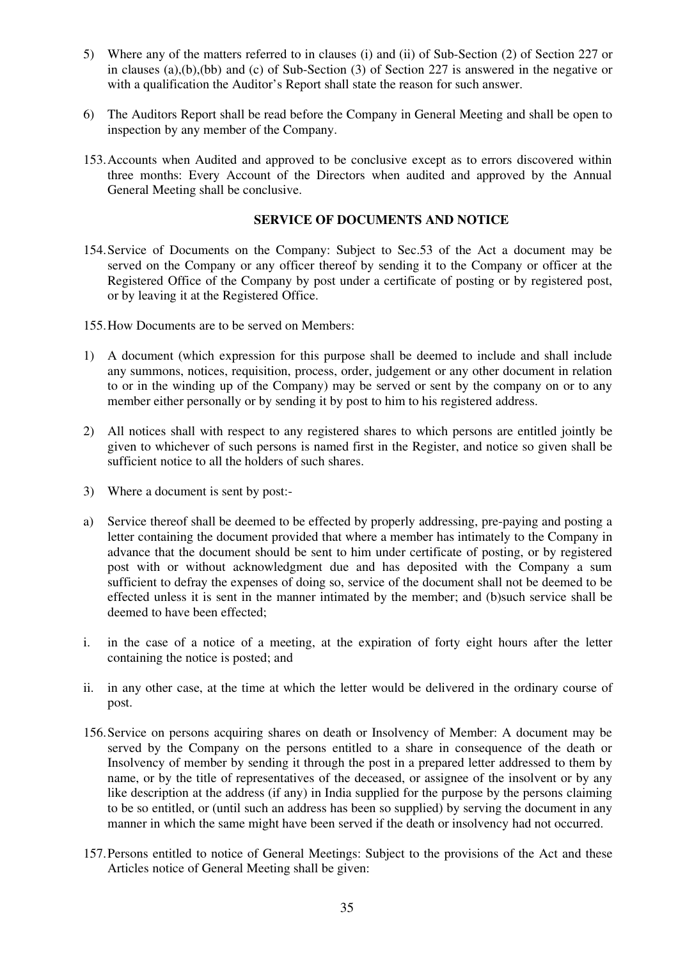- 5) Where any of the matters referred to in clauses (i) and (ii) of Sub-Section (2) of Section 227 or in clauses (a),(b),(bb) and (c) of Sub-Section (3) of Section 227 is answered in the negative or with a qualification the Auditor's Report shall state the reason for such answer.
- 6) The Auditors Report shall be read before the Company in General Meeting and shall be open to inspection by any member of the Company.
- 153.Accounts when Audited and approved to be conclusive except as to errors discovered within three months: Every Account of the Directors when audited and approved by the Annual General Meeting shall be conclusive.

## **SERVICE OF DOCUMENTS AND NOTICE**

- 154.Service of Documents on the Company: Subject to Sec.53 of the Act a document may be served on the Company or any officer thereof by sending it to the Company or officer at the Registered Office of the Company by post under a certificate of posting or by registered post, or by leaving it at the Registered Office.
- 155.How Documents are to be served on Members:
- 1) A document (which expression for this purpose shall be deemed to include and shall include any summons, notices, requisition, process, order, judgement or any other document in relation to or in the winding up of the Company) may be served or sent by the company on or to any member either personally or by sending it by post to him to his registered address.
- 2) All notices shall with respect to any registered shares to which persons are entitled jointly be given to whichever of such persons is named first in the Register, and notice so given shall be sufficient notice to all the holders of such shares.
- 3) Where a document is sent by post:-
- a) Service thereof shall be deemed to be effected by properly addressing, pre-paying and posting a letter containing the document provided that where a member has intimately to the Company in advance that the document should be sent to him under certificate of posting, or by registered post with or without acknowledgment due and has deposited with the Company a sum sufficient to defray the expenses of doing so, service of the document shall not be deemed to be effected unless it is sent in the manner intimated by the member; and (b)such service shall be deemed to have been effected;
- i. in the case of a notice of a meeting, at the expiration of forty eight hours after the letter containing the notice is posted; and
- ii. in any other case, at the time at which the letter would be delivered in the ordinary course of post.
- 156.Service on persons acquiring shares on death or Insolvency of Member: A document may be served by the Company on the persons entitled to a share in consequence of the death or Insolvency of member by sending it through the post in a prepared letter addressed to them by name, or by the title of representatives of the deceased, or assignee of the insolvent or by any like description at the address (if any) in India supplied for the purpose by the persons claiming to be so entitled, or (until such an address has been so supplied) by serving the document in any manner in which the same might have been served if the death or insolvency had not occurred.
- 157.Persons entitled to notice of General Meetings: Subject to the provisions of the Act and these Articles notice of General Meeting shall be given: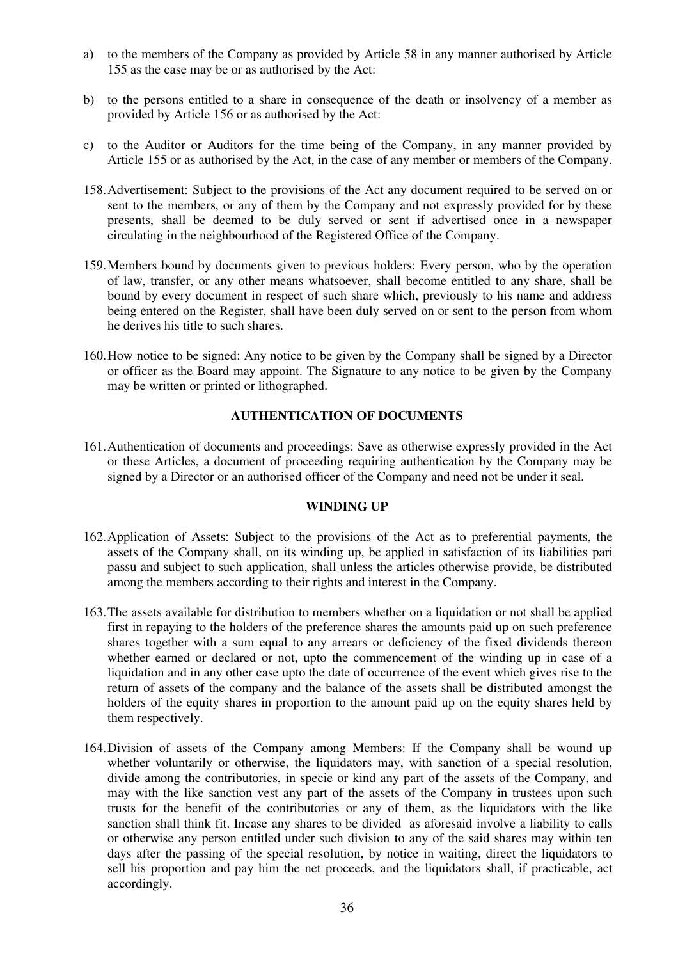- a) to the members of the Company as provided by Article 58 in any manner authorised by Article 155 as the case may be or as authorised by the Act:
- b) to the persons entitled to a share in consequence of the death or insolvency of a member as provided by Article 156 or as authorised by the Act:
- c) to the Auditor or Auditors for the time being of the Company, in any manner provided by Article 155 or as authorised by the Act, in the case of any member or members of the Company.
- 158.Advertisement: Subject to the provisions of the Act any document required to be served on or sent to the members, or any of them by the Company and not expressly provided for by these presents, shall be deemed to be duly served or sent if advertised once in a newspaper circulating in the neighbourhood of the Registered Office of the Company.
- 159.Members bound by documents given to previous holders: Every person, who by the operation of law, transfer, or any other means whatsoever, shall become entitled to any share, shall be bound by every document in respect of such share which, previously to his name and address being entered on the Register, shall have been duly served on or sent to the person from whom he derives his title to such shares.
- 160.How notice to be signed: Any notice to be given by the Company shall be signed by a Director or officer as the Board may appoint. The Signature to any notice to be given by the Company may be written or printed or lithographed.

# **AUTHENTICATION OF DOCUMENTS**

161.Authentication of documents and proceedings: Save as otherwise expressly provided in the Act or these Articles, a document of proceeding requiring authentication by the Company may be signed by a Director or an authorised officer of the Company and need not be under it seal.

## **WINDING UP**

- 162.Application of Assets: Subject to the provisions of the Act as to preferential payments, the assets of the Company shall, on its winding up, be applied in satisfaction of its liabilities pari passu and subject to such application, shall unless the articles otherwise provide, be distributed among the members according to their rights and interest in the Company.
- 163.The assets available for distribution to members whether on a liquidation or not shall be applied first in repaying to the holders of the preference shares the amounts paid up on such preference shares together with a sum equal to any arrears or deficiency of the fixed dividends thereon whether earned or declared or not, upto the commencement of the winding up in case of a liquidation and in any other case upto the date of occurrence of the event which gives rise to the return of assets of the company and the balance of the assets shall be distributed amongst the holders of the equity shares in proportion to the amount paid up on the equity shares held by them respectively.
- 164.Division of assets of the Company among Members: If the Company shall be wound up whether voluntarily or otherwise, the liquidators may, with sanction of a special resolution, divide among the contributories, in specie or kind any part of the assets of the Company, and may with the like sanction vest any part of the assets of the Company in trustees upon such trusts for the benefit of the contributories or any of them, as the liquidators with the like sanction shall think fit. Incase any shares to be divided as aforesaid involve a liability to calls or otherwise any person entitled under such division to any of the said shares may within ten days after the passing of the special resolution, by notice in waiting, direct the liquidators to sell his proportion and pay him the net proceeds, and the liquidators shall, if practicable, act accordingly.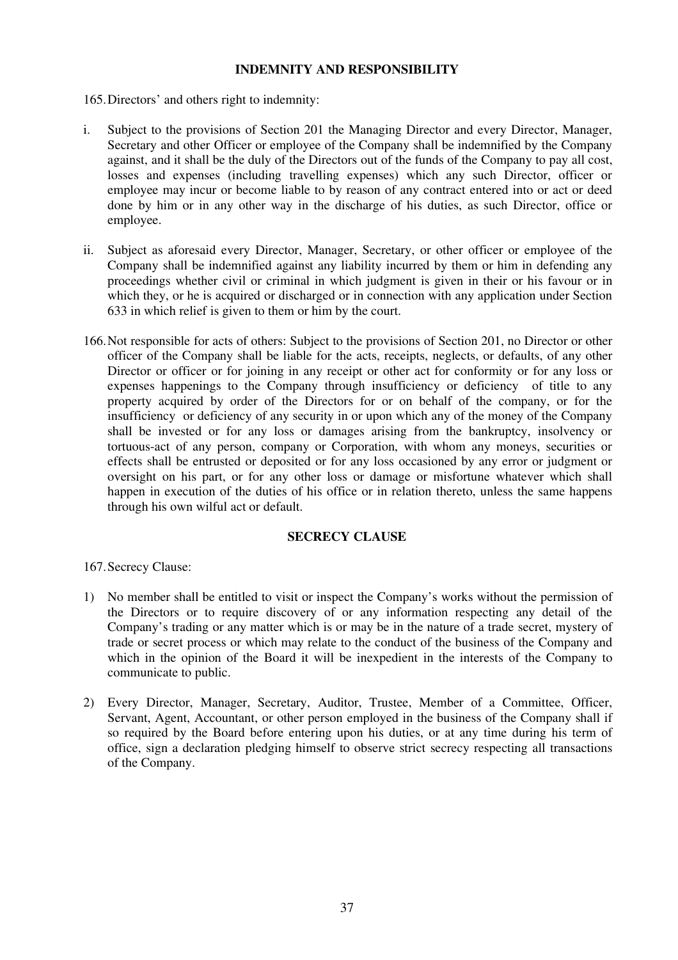# **INDEMNITY AND RESPONSIBILITY**

165.Directors' and others right to indemnity:

- i. Subject to the provisions of Section 201 the Managing Director and every Director, Manager, Secretary and other Officer or employee of the Company shall be indemnified by the Company against, and it shall be the duly of the Directors out of the funds of the Company to pay all cost, losses and expenses (including travelling expenses) which any such Director, officer or employee may incur or become liable to by reason of any contract entered into or act or deed done by him or in any other way in the discharge of his duties, as such Director, office or employee.
- ii. Subject as aforesaid every Director, Manager, Secretary, or other officer or employee of the Company shall be indemnified against any liability incurred by them or him in defending any proceedings whether civil or criminal in which judgment is given in their or his favour or in which they, or he is acquired or discharged or in connection with any application under Section 633 in which relief is given to them or him by the court.
- 166.Not responsible for acts of others: Subject to the provisions of Section 201, no Director or other officer of the Company shall be liable for the acts, receipts, neglects, or defaults, of any other Director or officer or for joining in any receipt or other act for conformity or for any loss or expenses happenings to the Company through insufficiency or deficiency of title to any property acquired by order of the Directors for or on behalf of the company, or for the insufficiency or deficiency of any security in or upon which any of the money of the Company shall be invested or for any loss or damages arising from the bankruptcy, insolvency or tortuous-act of any person, company or Corporation, with whom any moneys, securities or effects shall be entrusted or deposited or for any loss occasioned by any error or judgment or oversight on his part, or for any other loss or damage or misfortune whatever which shall happen in execution of the duties of his office or in relation thereto, unless the same happens through his own wilful act or default.

# **SECRECY CLAUSE**

167.Secrecy Clause:

- 1) No member shall be entitled to visit or inspect the Company's works without the permission of the Directors or to require discovery of or any information respecting any detail of the Company's trading or any matter which is or may be in the nature of a trade secret, mystery of trade or secret process or which may relate to the conduct of the business of the Company and which in the opinion of the Board it will be inexpedient in the interests of the Company to communicate to public.
- 2) Every Director, Manager, Secretary, Auditor, Trustee, Member of a Committee, Officer, Servant, Agent, Accountant, or other person employed in the business of the Company shall if so required by the Board before entering upon his duties, or at any time during his term of office, sign a declaration pledging himself to observe strict secrecy respecting all transactions of the Company.